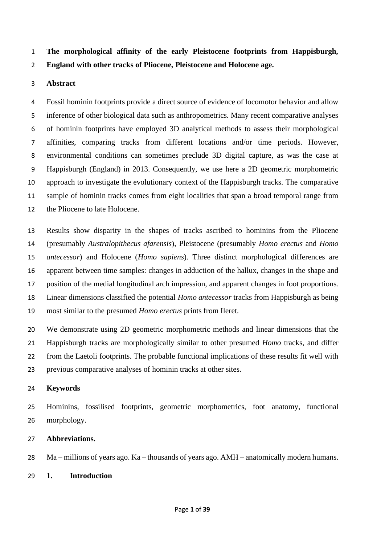**The morphological affinity of the early Pleistocene footprints from Happisburgh, England with other tracks of Pliocene, Pleistocene and Holocene age.** 

# **Abstract**

 Fossil hominin footprints provide a direct source of evidence of locomotor behavior and allow inference of other biological data such as anthropometrics. Many recent comparative analyses of hominin footprints have employed 3D analytical methods to assess their morphological affinities, comparing tracks from different locations and/or time periods. However, environmental conditions can sometimes preclude 3D digital capture, as was the case at Happisburgh (England) in 2013. Consequently, we use here a 2D geometric morphometric approach to investigate the evolutionary context of the Happisburgh tracks. The comparative sample of hominin tracks comes from eight localities that span a broad temporal range from the Pliocene to late Holocene.

 Results show disparity in the shapes of tracks ascribed to hominins from the Pliocene (presumably *Australopithecus afarensis*), Pleistocene (presumably *Homo erectus* and *Homo antecessor*) and Holocene (*Homo sapiens*). Three distinct morphological differences are apparent between time samples: changes in adduction of the hallux, changes in the shape and position of the medial longitudinal arch impression, and apparent changes in foot proportions*.*  Linear dimensions classified the potential *Homo antecessor* tracks from Happisburgh as being most similar to the presumed *Homo erectus* prints from Ileret.

 We demonstrate using 2D geometric morphometric methods and linear dimensions that the Happisburgh tracks are morphologically similar to other presumed *Homo* tracks, and differ from the Laetoli footprints. The probable functional implications of these results fit well with previous comparative analyses of hominin tracks at other sites.

# **Keywords**

 Hominins, fossilised footprints, geometric morphometrics, foot anatomy, functional morphology.

# **Abbreviations.**

Ma – millions of years ago. Ka – thousands of years ago. AMH – anatomically modern humans.

**1. Introduction**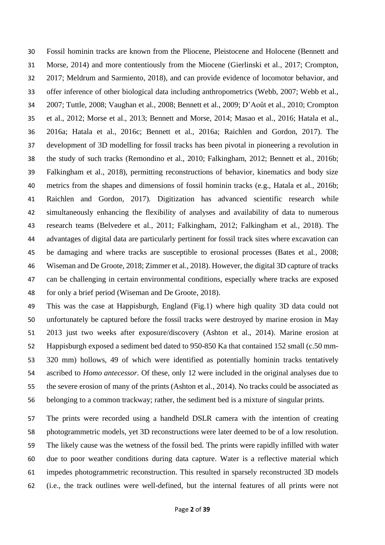Fossil hominin tracks are known from the Pliocene, Pleistocene and Holocene (Bennett and Morse, 2014) and more contentiously from the Miocene (Gierlinski et al., 2017; Crompton, 2017; Meldrum and Sarmiento, 2018), and can provide evidence of locomotor behavior, and offer inference of other biological data including anthropometrics (Webb, 2007; Webb et al., 2007; Tuttle, 2008; Vaughan et al., 2008; Bennett et al., 2009; D'Août et al., 2010; Crompton et al., 2012; Morse et al., 2013; Bennett and Morse, 2014; Masao et al., 2016; Hatala et al., 2016a; Hatala et al., 2016c; Bennett et al., 2016a; Raichlen and Gordon, 2017). The development of 3D modelling for fossil tracks has been pivotal in pioneering a revolution in the study of such tracks (Remondino et al., 2010; Falkingham, 2012; Bennett et al., 2016b; Falkingham et al., 2018), permitting reconstructions of behavior, kinematics and body size metrics from the shapes and dimensions of fossil hominin tracks (e.g., Hatala et al., 2016b; Raichlen and Gordon, 2017). Digitization has advanced scientific research while simultaneously enhancing the flexibility of analyses and availability of data to numerous research teams (Belvedere et al., 2011; Falkingham, 2012; Falkingham et al., 2018). The advantages of digital data are particularly pertinent for fossil track sites where excavation can be damaging and where tracks are susceptible to erosional processes (Bates et al., 2008; Wiseman and De Groote, 2018; Zimmer et al., 2018). However, the digital 3D capture of tracks can be challenging in certain environmental conditions, especially where tracks are exposed for only a brief period (Wiseman and De Groote, 2018).

 This was the case at Happisburgh, England (Fig.1) where high quality 3D data could not unfortunately be captured before the fossil tracks were destroyed by marine erosion in May 2013 just two weeks after exposure/discovery (Ashton et al., 2014). Marine erosion at Happisburgh exposed a sediment bed dated to 950-850 Ka that contained 152 small (c.50 mm- 320 mm) hollows, 49 of which were identified as potentially hominin tracks tentatively ascribed to *Homo antecessor*. Of these, only 12 were included in the original analyses due to the severe erosion of many of the prints (Ashton et al., 2014). No tracks could be associated as belonging to a common trackway; rather, the sediment bed is a mixture of singular prints.

 The prints were recorded using a handheld DSLR camera with the intention of creating photogrammetric models, yet 3D reconstructions were later deemed to be of a low resolution. The likely cause was the wetness of the fossil bed. The prints were rapidly infilled with water due to poor weather conditions during data capture. Water is a reflective material which impedes photogrammetric reconstruction. This resulted in sparsely reconstructed 3D models (i.e., the track outlines were well-defined, but the internal features of all prints were not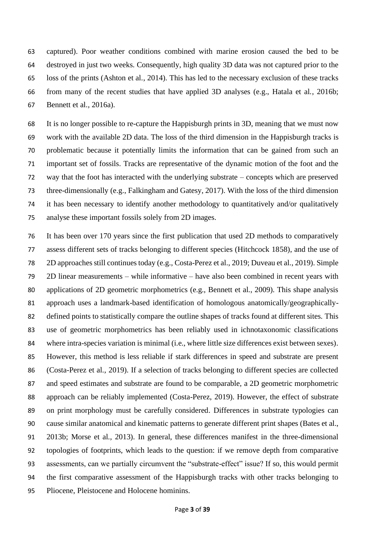captured). Poor weather conditions combined with marine erosion caused the bed to be destroyed in just two weeks. Consequently, high quality 3D data was not captured prior to the loss of the prints (Ashton et al., 2014). This has led to the necessary exclusion of these tracks from many of the recent studies that have applied 3D analyses (e.g., Hatala et al., 2016b; Bennett et al., 2016a).

 It is no longer possible to re-capture the Happisburgh prints in 3D, meaning that we must now work with the available 2D data. The loss of the third dimension in the Happisburgh tracks is problematic because it potentially limits the information that can be gained from such an important set of fossils. Tracks are representative of the dynamic motion of the foot and the way that the foot has interacted with the underlying substrate – concepts which are preserved three-dimensionally (e.g., Falkingham and Gatesy, 2017). With the loss of the third dimension it has been necessary to identify another methodology to quantitatively and/or qualitatively analyse these important fossils solely from 2D images.

 It has been over 170 years since the first publication that used 2D methods to comparatively assess different sets of tracks belonging to different species (Hitchcock 1858), and the use of 2D approaches still continues today (e.g., Costa-Perez et al., 2019; Duveau et al., 2019). Simple 2D linear measurements – while informative – have also been combined in recent years with applications of 2D geometric morphometrics (e.g., Bennett et al., 2009). This shape analysis approach uses a landmark-based identification of homologous anatomically/geographically- defined points to statistically compare the outline shapes of tracks found at different sites. This use of geometric morphometrics has been reliably used in ichnotaxonomic classifications where intra-species variation is minimal (i.e., where little size differences exist between sexes). However, this method is less reliable if stark differences in speed and substrate are present (Costa-Perez et al., 2019). If a selection of tracks belonging to different species are collected and speed estimates and substrate are found to be comparable, a 2D geometric morphometric approach can be reliably implemented (Costa-Perez, 2019). However, the effect of substrate on print morphology must be carefully considered. Differences in substrate typologies can cause similar anatomical and kinematic patterns to generate different print shapes (Bates et al., 2013b; Morse et al., 2013). In general, these differences manifest in the three-dimensional topologies of footprints, which leads to the question: if we remove depth from comparative assessments, can we partially circumvent the "substrate-effect" issue? If so, this would permit the first comparative assessment of the Happisburgh tracks with other tracks belonging to Pliocene, Pleistocene and Holocene hominins.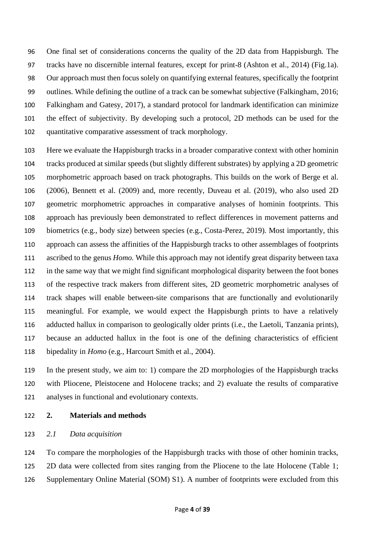One final set of considerations concerns the quality of the 2D data from Happisburgh. The tracks have no discernible internal features, except for print-8 (Ashton et al., 2014) (Fig.1a). Our approach must then focus solely on quantifying external features, specifically the footprint outlines. While defining the outline of a track can be somewhat subjective (Falkingham, 2016; Falkingham and Gatesy, 2017), a standard protocol for landmark identification can minimize the effect of subjectivity. By developing such a protocol, 2D methods can be used for the quantitative comparative assessment of track morphology.

 Here we evaluate the Happisburgh tracks in a broader comparative context with other hominin tracks produced at similar speeds (but slightly different substrates) by applying a 2D geometric morphometric approach based on track photographs. This builds on the work of Berge et al. (2006), Bennett et al. (2009) and, more recently, Duveau et al. (2019), who also used 2D geometric morphometric approaches in comparative analyses of hominin footprints. This approach has previously been demonstrated to reflect differences in movement patterns and biometrics (e.g., body size) between species (e.g., Costa-Perez, 2019). Most importantly, this approach can assess the affinities of the Happisburgh tracks to other assemblages of footprints ascribed to the genus *Homo.* While this approach may not identify great disparity between taxa in the same way that we might find significant morphological disparity between the foot bones of the respective track makers from different sites, 2D geometric morphometric analyses of track shapes will enable between-site comparisons that are functionally and evolutionarily meaningful. For example, we would expect the Happisburgh prints to have a relatively adducted hallux in comparison to geologically older prints (i.e., the Laetoli, Tanzania prints), because an adducted hallux in the foot is one of the defining characteristics of efficient bipedality in *Homo* (e.g., Harcourt Smith et al., 2004).

 In the present study, we aim to: 1) compare the 2D morphologies of the Happisburgh tracks with Pliocene, Pleistocene and Holocene tracks; and 2) evaluate the results of comparative analyses in functional and evolutionary contexts.

**2. Materials and methods**

## *2.1 Data acquisition*

 To compare the morphologies of the Happisburgh tracks with those of other hominin tracks, 125 2D data were collected from sites ranging from the Pliocene to the late Holocene (Table 1; Supplementary Online Material (SOM) S1). A number of footprints were excluded from this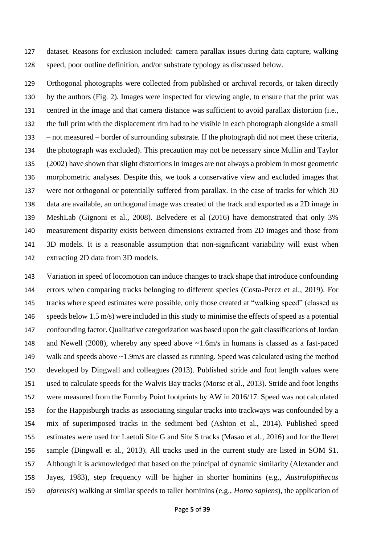dataset. Reasons for exclusion included: camera parallax issues during data capture, walking speed, poor outline definition, and/or substrate typology as discussed below.

 Orthogonal photographs were collected from published or archival records, or taken directly by the authors (Fig. 2). Images were inspected for viewing angle, to ensure that the print was centred in the image and that camera distance was sufficient to avoid parallax distortion (i.e., the full print with the displacement rim had to be visible in each photograph alongside a small – not measured – border of surrounding substrate. If the photograph did not meet these criteria, the photograph was excluded). This precaution may not be necessary since Mullin and Taylor (2002) have shown that slight distortions in images are not always a problem in most geometric morphometric analyses. Despite this, we took a conservative view and excluded images that were not orthogonal or potentially suffered from parallax. In the case of tracks for which 3D data are available, an orthogonal image was created of the track and exported as a 2D image in MeshLab (Gignoni et al., 2008). Belvedere et al (2016) have demonstrated that only 3% measurement disparity exists between dimensions extracted from 2D images and those from 3D models. It is a reasonable assumption that non-significant variability will exist when extracting 2D data from 3D models.

 Variation in speed of locomotion can induce changes to track shape that introduce confounding errors when comparing tracks belonging to different species (Costa-Perez et al., 2019). For tracks where speed estimates were possible, only those created at "walking speed" (classed as speeds below 1.5 m/s) were included in this study to minimise the effects of speed as a potential confounding factor. Qualitative categorization was based upon the gait classifications of Jordan and Newell (2008), whereby any speed above ~1.6m/s in humans is classed as a fast-paced walk and speeds above ~1.9m/s are classed as running. Speed was calculated using the method developed by Dingwall and colleagues (2013). Published stride and foot length values were used to calculate speeds for the Walvis Bay tracks (Morse et al., 2013). Stride and foot lengths were measured from the Formby Point footprints by AW in 2016/17. Speed was not calculated for the Happisburgh tracks as associating singular tracks into trackways was confounded by a mix of superimposed tracks in the sediment bed (Ashton et al., 2014). Published speed estimates were used for Laetoli Site G and Site S tracks (Masao et al., 2016) and for the Ileret sample (Dingwall et al., 2013). All tracks used in the current study are listed in SOM S1. Although it is acknowledged that based on the principal of dynamic similarity (Alexander and Jayes, 1983), step frequency will be higher in shorter hominins (e.g., *Australopithecus afarensis*) walking at similar speeds to taller hominins (e.g., *Homo sapiens*), the application of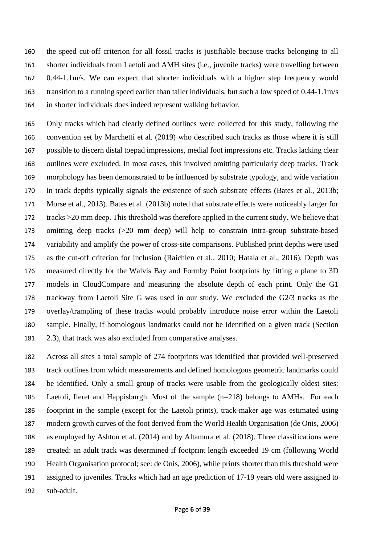the speed cut-off criterion for all fossil tracks is justifiable because tracks belonging to all shorter individuals from Laetoli and AMH sites (i.e., juvenile tracks) were travelling between 0.44-1.1m/s. We can expect that shorter individuals with a higher step frequency would transition to a running speed earlier than taller individuals, but such a low speed of 0.44-1.1m/s in shorter individuals does indeed represent walking behavior.

 Only tracks which had clearly defined outlines were collected for this study, following the convention set by Marchetti et al. (2019) who described such tracks as those where it is still possible to discern distal toepad impressions, medial foot impressions etc. Tracks lacking clear outlines were excluded. In most cases, this involved omitting particularly deep tracks. Track morphology has been demonstrated to be influenced by substrate typology, and wide variation in track depths typically signals the existence of such substrate effects (Bates et al., 2013b; Morse et al., 2013). Bates et al. (2013b) noted that substrate effects were noticeably larger for tracks >20 mm deep. This threshold was therefore applied in the current study. We believe that omitting deep tracks (>20 mm deep) will help to constrain intra-group substrate-based variability and amplify the power of cross-site comparisons. Published print depths were used as the cut-off criterion for inclusion (Raichlen et al., 2010; Hatala et al., 2016). Depth was measured directly for the Walvis Bay and Formby Point footprints by fitting a plane to 3D models in CloudCompare and measuring the absolute depth of each print. Only the G1 trackway from Laetoli Site G was used in our study. We excluded the G2/3 tracks as the overlay/trampling of these tracks would probably introduce noise error within the Laetoli sample. Finally, if homologous landmarks could not be identified on a given track (Section 2.3), that track was also excluded from comparative analyses.

 Across all sites a total sample of 274 footprints was identified that provided well-preserved track outlines from which measurements and defined homologous geometric landmarks could be identified. Only a small group of tracks were usable from the geologically oldest sites: Laetoli, Ileret and Happisburgh. Most of the sample (n=218) belongs to AMHs. For each footprint in the sample (except for the Laetoli prints), track-maker age was estimated using modern growth curves of the foot derived from the World Health Organisation (de Onis, 2006) as employed by Ashton et al. (2014) and by Altamura et al. (2018). Three classifications were created: an adult track was determined if footprint length exceeded 19 cm (following World Health Organisation protocol; see: de Onis, 2006), while prints shorter than this threshold were assigned to juveniles. Tracks which had an age prediction of 17-19 years old were assigned to sub-adult.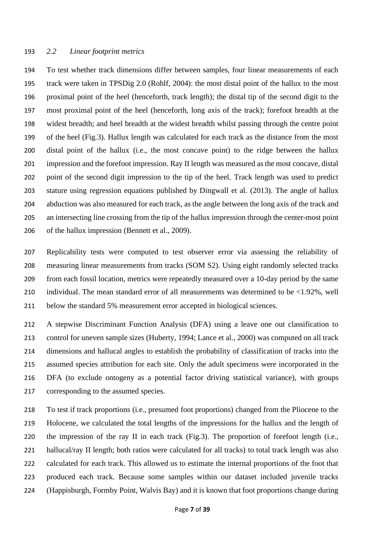#### *2.2 Linear footprint metrics*

 To test whether track dimensions differ between samples, four linear measurements of each track were taken in TPSDig 2.0 (Rohlf, 2004): the most distal point of the hallux to the most proximal point of the heel (henceforth, track length); the distal tip of the second digit to the most proximal point of the heel (henceforth, long axis of the track); forefoot breadth at the widest breadth; and heel breadth at the widest breadth whilst passing through the centre point of the heel (Fig.3). Hallux length was calculated for each track as the distance from the most distal point of the hallux (i.e., the most concave point) to the ridge between the hallux impression and the forefoot impression. Ray II length was measured as the most concave, distal point of the second digit impression to the tip of the heel. Track length was used to predict stature using regression equations published by Dingwall et al. (2013). The angle of hallux abduction was also measured for each track, as the angle between the long axis of the track and an intersecting line crossing from the tip of the hallux impression through the center-most point of the hallux impression (Bennett et al., 2009).

 Replicability tests were computed to test observer error via assessing the reliability of measuring linear measurements from tracks (SOM S2). Using eight randomly selected tracks from each fossil location, metrics were repeatedly measured over a 10-day period by the same individual. The mean standard error of all measurements was determined to be <1.92%, well below the standard 5% measurement error accepted in biological sciences.

 A stepwise Discriminant Function Analysis (DFA) using a leave one out classification to control for uneven sample sizes (Huberty, 1994; Lance et al., 2000) was computed on all track dimensions and hallucal angles to establish the probability of classification of tracks into the assumed species attribution for each site. Only the adult specimens were incorporated in the DFA (to exclude ontogeny as a potential factor driving statistical variance), with groups corresponding to the assumed species.

 To test if track proportions (i.e., presumed foot proportions) changed from the Pliocene to the Holocene, we calculated the total lengths of the impressions for the hallux and the length of the impression of the ray II in each track (Fig.3). The proportion of forefoot length (i.e., 221 hallucal/ray II length; both ratios were calculated for all tracks) to total track length was also calculated for each track. This allowed us to estimate the internal proportions of the foot that produced each track. Because some samples within our dataset included juvenile tracks (Happisburgh, Formby Point, Walvis Bay) and it is known that foot proportions change during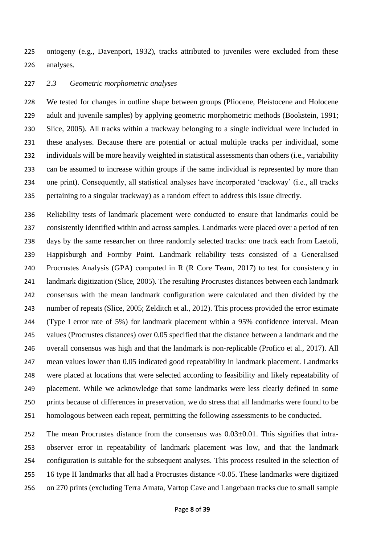ontogeny (e.g., Davenport, 1932), tracks attributed to juveniles were excluded from these analyses.

#### *2.3 Geometric morphometric analyses*

 We tested for changes in outline shape between groups (Pliocene, Pleistocene and Holocene adult and juvenile samples) by applying geometric morphometric methods (Bookstein, 1991; Slice, 2005). All tracks within a trackway belonging to a single individual were included in these analyses. Because there are potential or actual multiple tracks per individual, some individuals will be more heavily weighted in statistical assessments than others (i.e., variability can be assumed to increase within groups if the same individual is represented by more than one print). Consequently, all statistical analyses have incorporated 'trackway' (i.e., all tracks pertaining to a singular trackway) as a random effect to address this issue directly.

 Reliability tests of landmark placement were conducted to ensure that landmarks could be consistently identified within and across samples. Landmarks were placed over a period of ten days by the same researcher on three randomly selected tracks: one track each from Laetoli, Happisburgh and Formby Point. Landmark reliability tests consisted of a Generalised Procrustes Analysis (GPA) computed in R (R Core Team, 2017) to test for consistency in landmark digitization (Slice, 2005). The resulting Procrustes distances between each landmark consensus with the mean landmark configuration were calculated and then divided by the number of repeats (Slice, 2005; Zelditch et al., 2012). This process provided the error estimate (Type I error rate of 5%) for landmark placement within a 95% confidence interval. Mean values (Procrustes distances) over 0.05 specified that the distance between a landmark and the overall consensus was high and that the landmark is non-replicable (Profico et al., 2017). All mean values lower than 0.05 indicated good repeatability in landmark placement. Landmarks were placed at locations that were selected according to feasibility and likely repeatability of placement. While we acknowledge that some landmarks were less clearly defined in some prints because of differences in preservation, we do stress that all landmarks were found to be homologous between each repeat, permitting the following assessments to be conducted.

 The mean Procrustes distance from the consensus was 0.03±0.01. This signifies that intra- observer error in repeatability of landmark placement was low, and that the landmark configuration is suitable for the subsequent analyses. This process resulted in the selection of 16 type II landmarks that all had a Procrustes distance <0.05. These landmarks were digitized on 270 prints (excluding Terra Amata, Vartop Cave and Langebaan tracks due to small sample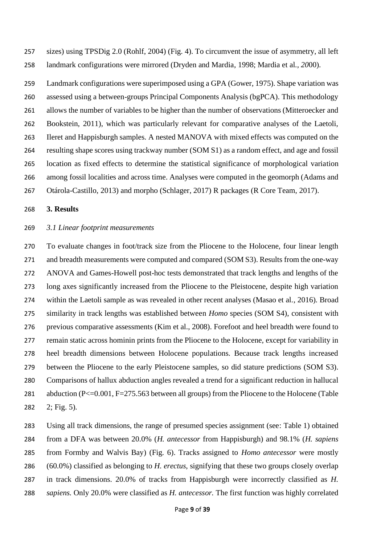sizes) using TPSDig 2.0 (Rohlf, 2004) (Fig. 4). To circumvent the issue of asymmetry, all left landmark configurations were mirrored (Dryden and Mardia, 1998; Mardia et al.*, 20*00).

 Landmark configurations were superimposed using a GPA (Gower, 1975). Shape variation was assessed using a between-groups Principal Components Analysis (bgPCA). This methodology allows the number of variables to be higher than the number of observations (Mitteroecker and Bookstein, 2011), which was particularly relevant for comparative analyses of the Laetoli, Ileret and Happisburgh samples. A nested MANOVA with mixed effects was computed on the resulting shape scores using trackway number (SOM S1) as a random effect, and age and fossil location as fixed effects to determine the statistical significance of morphological variation among fossil localities and across time. Analyses were computed in the geomorph (Adams and Otárola-Castillo, 2013) and morpho (Schlager, 2017) R packages (R Core Team, 2017).

## **3. Results**

#### *3.1 Linear footprint measurements*

 To evaluate changes in foot/track size from the Pliocene to the Holocene, four linear length and breadth measurements were computed and compared (SOM S3). Results from the one-way ANOVA and Games-Howell post-hoc tests demonstrated that track lengths and lengths of the long axes significantly increased from the Pliocene to the Pleistocene, despite high variation within the Laetoli sample as was revealed in other recent analyses (Masao et al., 2016). Broad similarity in track lengths was established between *Homo* species (SOM S4), consistent with previous comparative assessments (Kim et al., 2008). Forefoot and heel breadth were found to remain static across hominin prints from the Pliocene to the Holocene, except for variability in heel breadth dimensions between Holocene populations. Because track lengths increased between the Pliocene to the early Pleistocene samples, so did stature predictions (SOM S3). Comparisons of hallux abduction angles revealed a trend for a significant reduction in hallucal 281 abduction (P<=0.001, F=275.563 between all groups) from the Pliocene to the Holocene (Table 2; Fig. 5).

 Using all track dimensions, the range of presumed species assignment (see: Table 1) obtained from a DFA was between 20.0% (*H. antecessor* from Happisburgh) and 98.1% (*H. sapiens* from Formby and Walvis Bay) (Fig. 6). Tracks assigned to *Homo antecessor* were mostly (60.0%) classified as belonging to *H. erectus*, signifying that these two groups closely overlap in track dimensions. 20.0% of tracks from Happisburgh were incorrectly classified as *H. sapiens.* Only 20.0% were classified as *H. antecessor.* The first function was highly correlated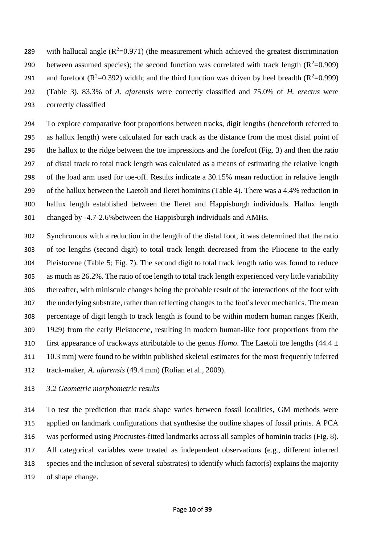289 with hallucal angle  $(R^2=0.971)$  (the measurement which achieved the greatest discrimination 290 between assumed species); the second function was correlated with track length  $(R^2=0.909)$ 291 and forefoot ( $R^2$ =0.392) width; and the third function was driven by heel breadth ( $R^2$ =0.999) (Table 3). 83.3% of *A. afarensis* were correctly classified and 75.0% of *H. erectus* were correctly classified

 To explore comparative foot proportions between tracks, digit lengths (henceforth referred to as hallux length) were calculated for each track as the distance from the most distal point of the hallux to the ridge between the toe impressions and the forefoot (Fig. 3) and then the ratio of distal track to total track length was calculated as a means of estimating the relative length of the load arm used for toe-off. Results indicate a 30.15% mean reduction in relative length of the hallux between the Laetoli and Ileret hominins (Table 4). There was a 4.4% reduction in hallux length established between the Ileret and Happisburgh individuals. Hallux length changed by -4.7-2.6%between the Happisburgh individuals and AMHs.

 Synchronous with a reduction in the length of the distal foot, it was determined that the ratio of toe lengths (second digit) to total track length decreased from the Pliocene to the early Pleistocene (Table 5; Fig. 7). The second digit to total track length ratio was found to reduce as much as 26.2%. The ratio of toe length to total track length experienced very little variability thereafter, with miniscule changes being the probable result of the interactions of the foot with the underlying substrate, rather than reflecting changes to the foot's lever mechanics. The mean percentage of digit length to track length is found to be within modern human ranges (Keith, 1929) from the early Pleistocene, resulting in modern human-like foot proportions from the 310 first appearance of trackways attributable to the genus *Homo*. The Laetoli toe lengths (44.4  $\pm$  10.3 mm) were found to be within published skeletal estimates for the most frequently inferred track-maker, *A. afarensis* (49.4 mm) (Rolian et al., 2009).

### *3.2 Geometric morphometric results*

 To test the prediction that track shape varies between fossil localities, GM methods were applied on landmark configurations that synthesise the outline shapes of fossil prints. A PCA was performed using Procrustes-fitted landmarks across all samples of hominin tracks (Fig. 8). All categorical variables were treated as independent observations (e.g., different inferred species and the inclusion of several substrates) to identify which factor(s) explains the majority of shape change.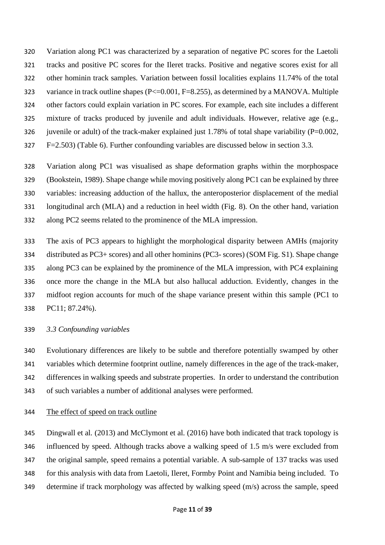Variation along PC1 was characterized by a separation of negative PC scores for the Laetoli tracks and positive PC scores for the Ileret tracks. Positive and negative scores exist for all other hominin track samples. Variation between fossil localities explains 11.74% of the total 323 variance in track outline shapes (P<=0.001, F=8.255), as determined by a MANOVA. Multiple other factors could explain variation in PC scores. For example, each site includes a different mixture of tracks produced by juvenile and adult individuals. However, relative age (e.g., 326 juvenile or adult) of the track-maker explained just 1.78% of total shape variability (P=0.002, F=2.503) (Table 6). Further confounding variables are discussed below in section 3.3.

 Variation along PC1 was visualised as shape deformation graphs within the morphospace (Bookstein, 1989). Shape change while moving positively along PC1 can be explained by three variables: increasing adduction of the hallux, the anteroposterior displacement of the medial longitudinal arch (MLA) and a reduction in heel width (Fig. 8). On the other hand, variation along PC2 seems related to the prominence of the MLA impression.

 The axis of PC3 appears to highlight the morphological disparity between AMHs (majority distributed as PC3+ scores) and all other hominins (PC3- scores) (SOM Fig. S1). Shape change along PC3 can be explained by the prominence of the MLA impression, with PC4 explaining once more the change in the MLA but also hallucal adduction. Evidently, changes in the midfoot region accounts for much of the shape variance present within this sample (PC1 to PC11; 87.24%).

# *3.3 Confounding variables*

 Evolutionary differences are likely to be subtle and therefore potentially swamped by other variables which determine footprint outline, namely differences in the age of the track-maker, differences in walking speeds and substrate properties. In order to understand the contribution of such variables a number of additional analyses were performed.

The effect of speed on track outline

 Dingwall et al*.* (2013) and McClymont et al*.* (2016) have both indicated that track topology is influenced by speed. Although tracks above a walking speed of 1.5 m/s were excluded from the original sample, speed remains a potential variable. A sub-sample of 137 tracks was used for this analysis with data from Laetoli, Ileret, Formby Point and Namibia being included. To determine if track morphology was affected by walking speed (m/s) across the sample, speed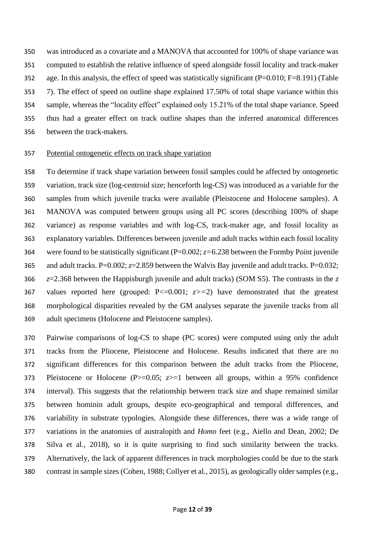was introduced as a covariate and a MANOVA that accounted for 100% of shape variance was computed to establish the relative influence of speed alongside fossil locality and track-maker age. In this analysis, the effect of speed was statistically significant (P=0.010; F=8.191) (Table 7). The effect of speed on outline shape explained 17.50% of total shape variance within this sample, whereas the "locality effect" explained only 15.21% of the total shape variance. Speed thus had a greater effect on track outline shapes than the inferred anatomical differences between the track-makers.

## Potential ontogenetic effects on track shape variation

 To determine if track shape variation between fossil samples could be affected by ontogenetic variation, track size (log-centroid size; henceforth log-CS) was introduced as a variable for the samples from which juvenile tracks were available (Pleistocene and Holocene samples). A MANOVA was computed between groups using all PC scores (describing 100% of shape variance) as response variables and with log-CS, track-maker age, and fossil locality as explanatory variables. Differences between juvenile and adult tracks within each fossil locality were found to be statistically significant (P=0.002; *z=*6.238 between the Formby Point juvenile 365 and adult tracks. P= $0.002$ ;  $z=2.859$  between the Walvis Bay juvenile and adult tracks. P= $0.032$ ; *z*=2.368 between the Happisburgh juvenile and adult tracks) (SOM S5). The contrasts in the *z* values reported here (grouped: P<=0.001; *z>=*2) have demonstrated that the greatest morphological disparities revealed by the GM analyses separate the juvenile tracks from all adult specimens (Holocene and Pleistocene samples).

 Pairwise comparisons of log-CS to shape (PC scores) were computed using only the adult tracks from the Pliocene, Pleistocene and Holocene. Results indicated that there are no significant differences for this comparison between the adult tracks from the Pliocene, Pleistocene or Holocene (P>=0.05; *z*>=1 between all groups, within a 95% confidence interval). This suggests that the relationship between track size and shape remained similar between hominin adult groups, despite eco-geographical and temporal differences, and variability in substrate typologies. Alongside these differences, there was a wide range of variations in the anatomies of australopith and *Homo* feet (e.g., Aiello and Dean, 2002; De Silva et al., 2018), so it is quite surprising to find such similarity between the tracks. Alternatively, the lack of apparent differences in track morphologies could be due to the stark contrast in sample sizes (Cohen, 1988; Collyer et al*.*, 2015), as geologically older samples (e.g.,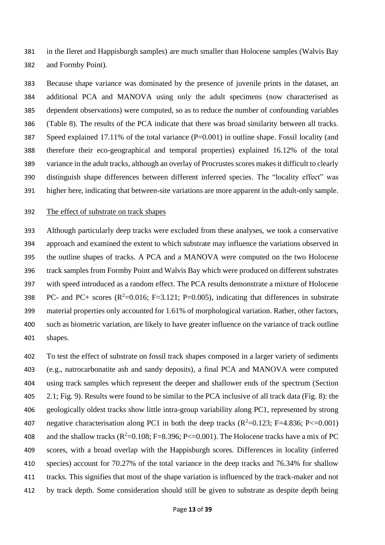in the Ileret and Happisburgh samples) are much smaller than Holocene samples (Walvis Bay and Formby Point).

 Because shape variance was dominated by the presence of juvenile prints in the dataset, an additional PCA and MANOVA using only the adult specimens (now characterised as dependent observations) were computed, so as to reduce the number of confounding variables (Table 8). The results of the PCA indicate that there was broad similarity between all tracks. Speed explained 17.11% of the total variance (P=0.001) in outline shape. Fossil locality (and therefore their eco-geographical and temporal properties) explained 16.12% of the total variance in the adult tracks, although an overlay of Procrustes scores makes it difficult to clearly distinguish shape differences between different inferred species. The "locality effect" was higher here, indicating that between-site variations are more apparent in the adult-only sample.

### The effect of substrate on track shapes

 Although particularly deep tracks were excluded from these analyses, we took a conservative approach and examined the extent to which substrate may influence the variations observed in the outline shapes of tracks. A PCA and a MANOVA were computed on the two Holocene track samples from Formby Point and Walvis Bay which were produced on different substrates with speed introduced as a random effect. The PCA results demonstrate a mixture of Holocene 398 PC- and PC+ scores  $(R^2=0.016; F=3.121; P=0.005)$ , indicating that differences in substrate material properties only accounted for 1.61% of morphological variation. Rather, other factors, such as biometric variation, are likely to have greater influence on the variance of track outline shapes.

 To test the effect of substrate on fossil track shapes composed in a larger variety of sediments (e.g., natrocarbonatite ash and sandy deposits), a final PCA and MANOVA were computed using track samples which represent the deeper and shallower ends of the spectrum (Section 2.1; Fig. 9). Results were found to be similar to the PCA inclusive of all track data (Fig. 8): the geologically oldest tracks show little intra-group variability along PC1, represented by strong 407 negative characterisation along PC1 in both the deep tracks  $(R^2=0.123; F=4.836; P\leq0.001)$ 408 and the shallow tracks ( $R^2$ =0.108; F=8.396; P<=0.001). The Holocene tracks have a mix of PC scores, with a broad overlap with the Happisburgh scores. Differences in locality (inferred species) account for 70.27% of the total variance in the deep tracks and 76.34% for shallow tracks. This signifies that most of the shape variation is influenced by the track-maker and not by track depth. Some consideration should still be given to substrate as despite depth being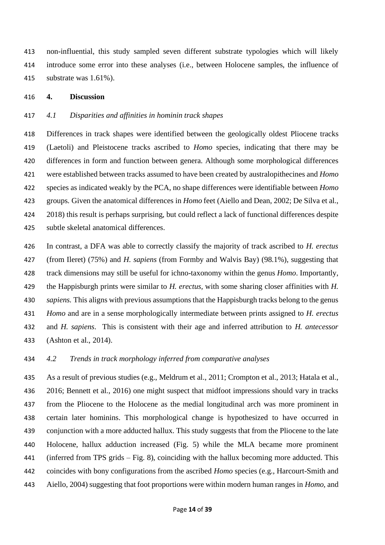non-influential, this study sampled seven different substrate typologies which will likely introduce some error into these analyses (i.e., between Holocene samples, the influence of substrate was 1.61%).

### **4. Discussion**

#### *4.1 Disparities and affinities in hominin track shapes*

 Differences in track shapes were identified between the geologically oldest Pliocene tracks (Laetoli) and Pleistocene tracks ascribed to *Homo* species, indicating that there may be differences in form and function between genera. Although some morphological differences were established between tracks assumed to have been created by australopithecines and *Homo*  species as indicated weakly by the PCA, no shape differences were identifiable between *Homo* groups. Given the anatomical differences in *Homo* feet (Aiello and Dean, 2002; De Silva et al., 2018) this result is perhaps surprising, but could reflect a lack of functional differences despite subtle skeletal anatomical differences.

 In contrast, a DFA was able to correctly classify the majority of track ascribed to *H. erectus*  (from Ileret) (75%) and *H. sapiens* (from Formby and Walvis Bay) (98.1%), suggesting that track dimensions may still be useful for ichno-taxonomy within the genus *Homo*. Importantly, the Happisburgh prints were similar to *H. erectus,* with some sharing closer affinities with *H. sapiens.* This aligns with previous assumptions that the Happisburgh tracks belong to the genus *Homo* and are in a sense morphologically intermediate between prints assigned to *H. erectus*  and *H. sapiens*. This is consistent with their age and inferred attribution to *H. antecessor*  (Ashton et al., 2014).

## *4.2 Trends in track morphology inferred from comparative analyses*

 As a result of previous studies (e.g., Meldrum et al., 2011; Crompton et al., 2013; Hatala et al., 2016; Bennett et al., 2016) one might suspect that midfoot impressions should vary in tracks from the Pliocene to the Holocene as the medial longitudinal arch was more prominent in certain later hominins. This morphological change is hypothesized to have occurred in conjunction with a more adducted hallux. This study suggests that from the Pliocene to the late Holocene, hallux adduction increased (Fig. 5) while the MLA became more prominent (inferred from TPS grids – Fig. 8), coinciding with the hallux becoming more adducted. This coincides with bony configurations from the ascribed *Homo* species (e.g., Harcourt-Smith and Aiello, 2004) suggesting that foot proportions were within modern human ranges in *Homo,* and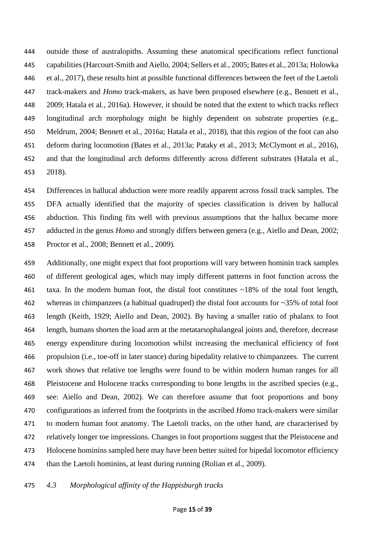outside those of australopiths. Assuming these anatomical specifications reflect functional capabilities (Harcourt-Smith and Aiello, 2004; Sellers et al., 2005; Bates et al., 2013a; Holowka et al., 2017), these results hint at possible functional differences between the feet of the Laetoli track-makers and *Homo* track-makers, as have been proposed elsewhere (e.g., Bennett et al., 2009; Hatala et al*.*, 2016a). However, it should be noted that the extent to which tracks reflect longitudinal arch morphology might be highly dependent on substrate properties (e.g., Meldrum, 2004; Bennett et al*.*, 2016a; Hatala et al., 2018), that this region of the foot can also deform during locomotion (Bates et al., 2013a; Pataky et al*.*, 2013; McClymont et al., 2016), 452 and that the longitudinal arch deforms differently across different substrates (Hatala et al., 2018).

 Differences in hallucal abduction were more readily apparent across fossil track samples. The DFA actually identified that the majority of species classification is driven by hallucal abduction. This finding fits well with previous assumptions that the hallux became more adducted in the genus *Homo* and strongly differs between genera (e.g., Aiello and Dean, 2002; Proctor et al., 2008; Bennett et al., 2009).

 Additionally, one might expect that foot proportions will vary between hominin track samples of different geological ages, which may imply different patterns in foot function across the taxa. In the modern human foot, the distal foot constitutes ~18% of the total foot length, whereas in chimpanzees (a habitual quadruped) the distal foot accounts for ~35% of total foot length (Keith, 1929; Aiello and Dean, 2002). By having a smaller ratio of phalanx to foot length, humans shorten the load arm at the metatarsophalangeal joints and, therefore, decrease energy expenditure during locomotion whilst increasing the mechanical efficiency of foot propulsion (i.e., toe-off in later stance) during bipedality relative to chimpanzees. The current work shows that relative toe lengths were found to be within modern human ranges for all Pleistocene and Holocene tracks corresponding to bone lengths in the ascribed species (e.g., see: Aiello and Dean, 2002)*.* We can therefore assume that foot proportions and bony configurations as inferred from the footprints in the ascribed *Homo* track-makers were similar to modern human foot anatomy. The Laetoli tracks, on the other hand, are characterised by relatively longer toe impressions. Changes in foot proportions suggest that the Pleistocene and Holocene hominins sampled here may have been better suited for bipedal locomotor efficiency than the Laetoli hominins, at least during running (Rolian et al., 2009).

### *4.3 Morphological affinity of the Happisburgh tracks*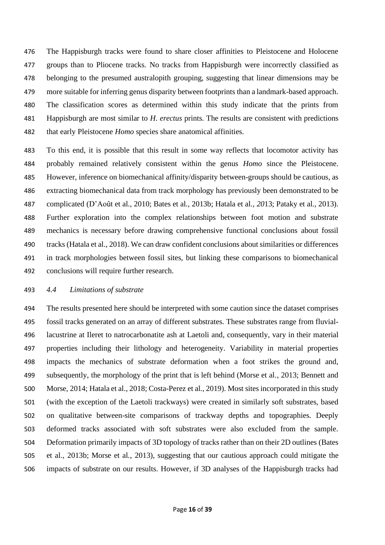The Happisburgh tracks were found to share closer affinities to Pleistocene and Holocene groups than to Pliocene tracks. No tracks from Happisburgh were incorrectly classified as belonging to the presumed australopith grouping, suggesting that linear dimensions may be more suitable for inferring genus disparity between footprints than a landmark-based approach. The classification scores as determined within this study indicate that the prints from Happisburgh are most similar to *H. erectus* prints. The results are consistent with predictions that early Pleistocene *Homo* species share anatomical affinities.

 To this end, it is possible that this result in some way reflects that locomotor activity has probably remained relatively consistent within the genus *Homo* since the Pleistocene. However, inference on biomechanical affinity/disparity between-groups should be cautious, as extracting biomechanical data from track morphology has previously been demonstrated to be complicated (D'Août et al*.*, 2010; Bates et al*.*, 2013b; Hatala et al.*, 20*13; Pataky et al*.*, 2013). Further exploration into the complex relationships between foot motion and substrate mechanics is necessary before drawing comprehensive functional conclusions about fossil tracks(Hatala et al., 2018). We can draw confident conclusions about similarities or differences in track morphologies between fossil sites, but linking these comparisons to biomechanical conclusions will require further research.

#### *4.4 Limitations of substrate*

 The results presented here should be interpreted with some caution since the dataset comprises fossil tracks generated on an array of different substrates. These substrates range from fluvial- lacustrine at Ileret to natrocarbonatite ash at Laetoli and, consequently, vary in their material properties including their lithology and heterogeneity. Variability in material properties impacts the mechanics of substrate deformation when a foot strikes the ground and, subsequently, the morphology of the print that is left behind (Morse et al*.,* 2013; Bennett and Morse, 2014; Hatala et al., 2018; Costa-Perez et al., 2019). Most sites incorporated in this study (with the exception of the Laetoli trackways) were created in similarly soft substrates, based on qualitative between-site comparisons of trackway depths and topographies. Deeply deformed tracks associated with soft substrates were also excluded from the sample. Deformation primarily impacts of 3D topology of tracks rather than on their 2D outlines (Bates et al., 2013b; Morse et al*.*, 2013), suggesting that our cautious approach could mitigate the impacts of substrate on our results. However, if 3D analyses of the Happisburgh tracks had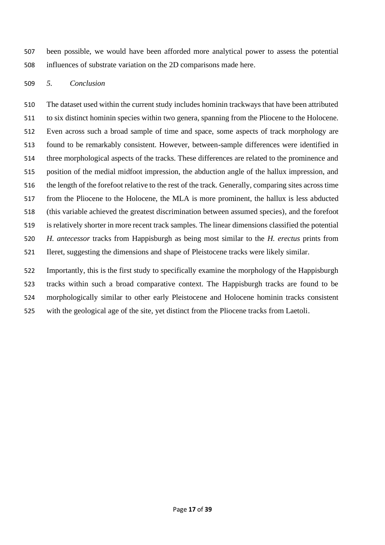been possible, we would have been afforded more analytical power to assess the potential influences of substrate variation on the 2D comparisons made here.

# *5. Conclusion*

 The dataset used within the current study includes hominin trackways that have been attributed to six distinct hominin species within two genera, spanning from the Pliocene to the Holocene. Even across such a broad sample of time and space, some aspects of track morphology are found to be remarkably consistent. However, between-sample differences were identified in three morphological aspects of the tracks. These differences are related to the prominence and position of the medial midfoot impression, the abduction angle of the hallux impression, and the length of the forefoot relative to the rest of the track*.* Generally, comparing sites across time from the Pliocene to the Holocene, the MLA is more prominent, the hallux is less abducted (this variable achieved the greatest discrimination between assumed species), and the forefoot is relatively shorter in more recent track samples. The linear dimensions classified the potential *H. antecessor* tracks from Happisburgh as being most similar to the *H. erectus* prints from Ileret, suggesting the dimensions and shape of Pleistocene tracks were likely similar.

 Importantly, this is the first study to specifically examine the morphology of the Happisburgh tracks within such a broad comparative context. The Happisburgh tracks are found to be morphologically similar to other early Pleistocene and Holocene hominin tracks consistent with the geological age of the site, yet distinct from the Pliocene tracks from Laetoli.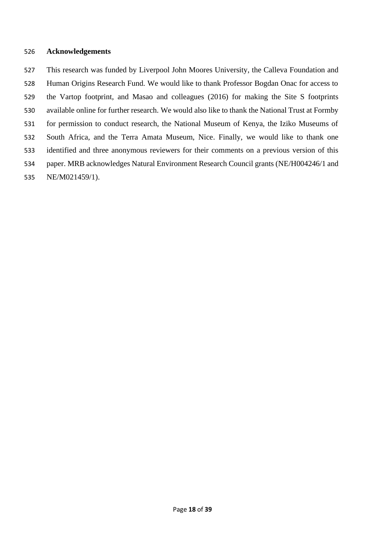#### **Acknowledgements**

 This research was funded by Liverpool John Moores University, the Calleva Foundation and Human Origins Research Fund. We would like to thank Professor Bogdan Onac for access to the Vartop footprint, and Masao and colleagues (2016) for making the Site S footprints available online for further research. We would also like to thank the National Trust at Formby for permission to conduct research, the National Museum of Kenya, the Iziko Museums of South Africa, and the Terra Amata Museum, Nice. Finally, we would like to thank one identified and three anonymous reviewers for their comments on a previous version of this paper. MRB acknowledges Natural Environment Research Council grants (NE/H004246/1 and NE/M021459/1).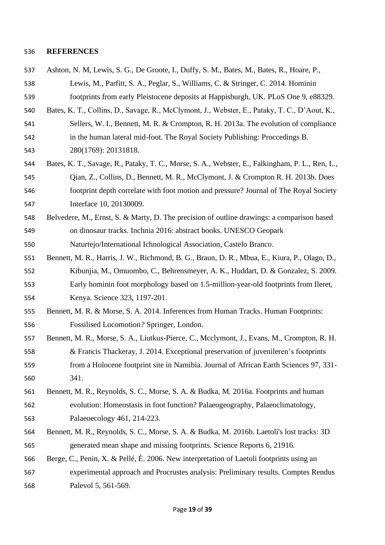#### **REFERENCES**

- Ashton, N. M, Lewis, S. G., De Groote, I., Duffy, S. M., Bates, M., Bates, R., Hoare, P., Lewis, M., Parfitt, S. A., Peglar, S., Williams, C. & Stringer, C. 2014. Hominin footprints from early Pleistocene deposits at Happisburgh, UK. PLoS One 9, e88329.
- Bates, K. T., Collins, D., Savage, R., McClymont, J., Webster, E., Pataky, T. C., D'Aout, K., Sellers, W. I., Bennett, M. R. & Crompton, R. H. 2013a. The evolution of compliance in the human lateral mid-foot. The Royal Society Publishing: Proccedings B*.*
- 280(1769): 20131818.
- Bates, K. T., Savage, R., Pataky, T. C., Morse, S. A., Webster, E., Falkingham, P. L., Ren, L., Qian, Z., Collins, D., Bennett, M. R., McClymont, J. & Crompton R. H. 2013b. Does footprint depth correlate with foot motion and pressure? Journal of The Royal Society Interface 10, 20130009.
- Belvedere, M., Ernst, S. & Marty, D. The precision of outline drawings: a comparison based on dinosaur tracks. Inchnia 2016: abstract books. UNESCO Geopark
- Naturtejo/International Ichnological Association, Castelo Branco.
- Bennett, M. R., Harris, J. W., Richmond, B. G., Braun, D. R., Mbua, E., Kiura, P., Olago, D., Kibunjia, M., Omuombo, C., Behrensmeyer, A. K., Huddart, D. & Gonzalez, S. 2009. Early hominin foot morphology based on 1.5-million-year-old footprints from Ileret, Kenya. Science 323, 1197-201.
- Bennett, M. R. & Morse, S. A. 2014. Inferences from Human Tracks. Human Footprints: Fossilised Locomotion*?* Springer, London.
- Bennett, M. R., Morse, S. A., Liutkus-Pierce, C., Mcclymont, J., Evans, M., Crompton, R. H. & Francis Thackeray, J. 2014. Exceptional preservation of juvenileren's footprints from a Holocene footprint site in Namibia. Journal of African Earth Sciences 97, 331- 341.
- Bennett, M. R., Reynolds, S. C., Morse, S. A. & Budka, M. 2016a. Footprints and human evolution: Homeostasis in foot function? Palaeogeography, Palaeoclimatology, Palaeoecology 461, 214-223.
- Bennett, M. R., Reynolds, S. C., Morse, S. A. & Budka, M. 2016b. Laetoli's lost tracks: 3D generated mean shape and missing footprints. Science Reports 6, 21916.
- Berge, C., Penin, X. & Pellé, É. 2006. New interpretation of Laetoli footprints using an experimental approach and Procrustes analysis: Preliminary results. Comptes Rendus Palevol 5, 561-569.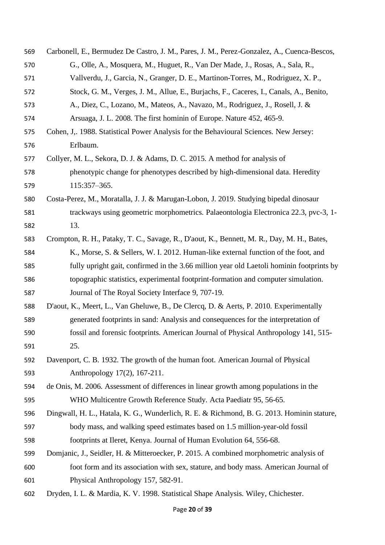| 569 | Carbonell, E., Bermudez De Castro, J. M., Pares, J. M., Perez-Gonzalez, A., Cuenca-Bescos, |
|-----|--------------------------------------------------------------------------------------------|
| 570 | G., Olle, A., Mosquera, M., Huguet, R., Van Der Made, J., Rosas, A., Sala, R.,             |
| 571 | Vallverdu, J., Garcia, N., Granger, D. E., Martinon-Torres, M., Rodriguez, X. P.,          |
| 572 | Stock, G. M., Verges, J. M., Allue, E., Burjachs, F., Caceres, I., Canals, A., Benito,     |
| 573 | A., Diez, C., Lozano, M., Mateos, A., Navazo, M., Rodriguez, J., Rosell, J. &              |
| 574 | Arsuaga, J. L. 2008. The first hominin of Europe. Nature 452, 465-9.                       |
| 575 | Cohen, J., 1988. Statistical Power Analysis for the Behavioural Sciences. New Jersey:      |
| 576 | Erlbaum.                                                                                   |
| 577 | Collyer, M. L., Sekora, D. J. & Adams, D. C. 2015. A method for analysis of                |
| 578 | phenotypic change for phenotypes described by high-dimensional data. Heredity              |
| 579 | 115:357-365.                                                                               |
| 580 | Costa-Perez, M., Moratalla, J. J. & Marugan-Lobon, J. 2019. Studying bipedal dinosaur      |
| 581 | trackways using geometric morphometrics. Palaeontologia Electronica 22.3, pvc-3, 1-        |
| 582 | 13.                                                                                        |
| 583 | Crompton, R. H., Pataky, T. C., Savage, R., D'aout, K., Bennett, M. R., Day, M. H., Bates, |
| 584 | K., Morse, S. & Sellers, W. I. 2012. Human-like external function of the foot, and         |
| 585 | fully upright gait, confirmed in the 3.66 million year old Laetoli hominin footprints by   |
| 586 | topographic statistics, experimental footprint-formation and computer simulation.          |
| 587 | Journal of The Royal Society Interface 9, 707-19.                                          |
| 588 | D'aout, K., Meert, L., Van Gheluwe, B., De Clercq, D. & Aerts, P. 2010. Experimentally     |
| 589 | generated footprints in sand: Analysis and consequences for the interpretation of          |
| 590 | fossil and forensic footprints. American Journal of Physical Anthropology 141, 515-        |
| 591 | 25.                                                                                        |
| 592 | Davenport, C. B. 1932. The growth of the human foot. American Journal of Physical          |
| 593 | Anthropology 17(2), 167-211.                                                               |
| 594 | de Onis, M. 2006. Assessment of differences in linear growth among populations in the      |
| 595 | WHO Multicentre Growth Reference Study. Acta Paediatr 95, 56-65.                           |
| 596 | Dingwall, H. L., Hatala, K. G., Wunderlich, R. E. & Richmond, B. G. 2013. Hominin stature, |
| 597 | body mass, and walking speed estimates based on 1.5 million-year-old fossil                |
| 598 | footprints at Ileret, Kenya. Journal of Human Evolution 64, 556-68.                        |
| 599 | Domjanic, J., Seidler, H. & Mitteroecker, P. 2015. A combined morphometric analysis of     |
| 600 | foot form and its association with sex, stature, and body mass. American Journal of        |
| 601 | Physical Anthropology 157, 582-91.                                                         |
| 602 | Dryden, I. L. & Mardia, K. V. 1998. Statistical Shape Analysis. Wiley, Chichester.         |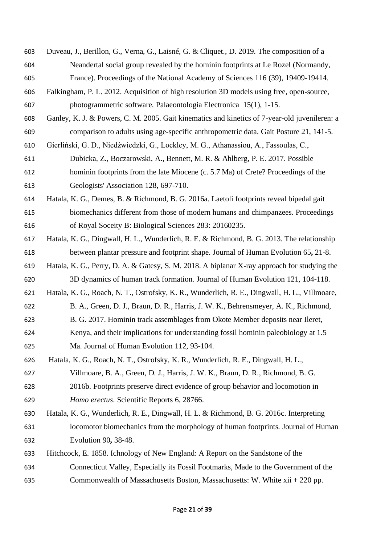- Duveau, J., Berillon, G., Verna, G., Laisné, G. & Cliquet., D. 2019. The composition of a Neandertal social group revealed by the hominin footprints at Le Rozel (Normandy,
- France). Proceedings of the National Academy of Sciences 116 (39), 19409-19414.
- Falkingham, P. L. 2012. Acquisition of high resolution 3D models using free, open-source, photogrammetric software. Palaeontologia Electronica 15(1), 1-15.
- Ganley, K. J. & Powers, C. M. 2005. Gait kinematics and kinetics of 7-year-old juvenileren: a comparison to adults using age-specific anthropometric data. Gait Posture 21, 141-5.
- Gierliński, G. D., Niedźwiedzki, G., Lockley, M. G., Athanassiou, A., Fassoulas, C.,
- Dubicka, Z., Boczarowski, A., Bennett, M. R. & Ahlberg, P. E. 2017. Possible hominin footprints from the late Miocene (c. 5.7 Ma) of Crete? Proceedings of the Geologists' Association 128, 697-710.
- Hatala, K. G., Demes, B. & Richmond, B. G. 2016a. Laetoli footprints reveal bipedal gait biomechanics different from those of modern humans and chimpanzees. Proceedings of Royal Soceity B: Biological Sciences 283: 20160235.
- Hatala, K. G., Dingwall, H. L., Wunderlich, R. E. & Richmond, B. G. 2013. The relationship between plantar pressure and footprint shape*.* Journal of Human Evolution 65**,** 21-8.
- Hatala, K. G., Perry, D. A. & Gatesy, S. M. 2018. A biplanar X-ray approach for studying the 3D dynamics of human track formation. Journal of Human Evolution 121, 104-118.
- Hatala, K. G., Roach, N. T., Ostrofsky, K. R., Wunderlich, R. E., Dingwall, H. L., Villmoare,
- B. A., Green, D. J., Braun, D. R., Harris, J. W. K., Behrensmeyer, A. K., Richmond,
- B. G. 2017. Hominin track assemblages from Okote Member deposits near Ileret,
- Kenya, and their implications for understanding fossil hominin paleobiology at 1.5 Ma. Journal of Human Evolution 112, 93-104.
- Hatala, K. G., Roach, N. T., Ostrofsky, K. R., Wunderlich, R. E., Dingwall, H. L.,
- Villmoare, B. A., Green, D. J., Harris, J. W. K., Braun, D. R., Richmond, B. G.
- 2016b. Footprints preserve direct evidence of group behavior and locomotion in *Homo erectus*. Scientific Reports 6, 28766.
- Hatala, K. G., Wunderlich, R. E., Dingwall, H. L. & Richmond, B. G. 2016c. Interpreting locomotor biomechanics from the morphology of human footprints*.* Journal of Human Evolution 90**,** 38-48.
- Hitchcock, E. 1858. Ichnology of New England: A Report on the Sandstone of the
- Connecticut Valley, Especially its Fossil Footmarks, Made to the Government of the Commonwealth of Massachusetts Boston, Massachusetts: W. White xii + 220 pp.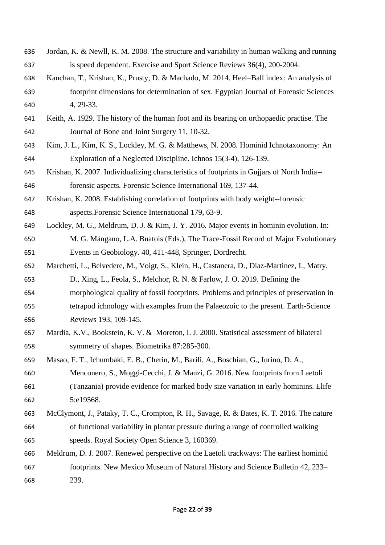- Jordan, K. & Newll, K. M. 2008. The structure and variability in human walking and running is speed dependent. Exercise and Sport Science Reviews 36(4), 200-2004.
- Kanchan, T., Krishan, K., Prusty, D. & Machado, M. 2014. Heel–Ball index: An analysis of footprint dimensions for determination of sex. Egyptian Journal of Forensic Sciences 4, 29-33.
- Keith, A. 1929. The history of the human foot and its bearing on orthopaedic practise. The Journal of Bone and Joint Surgery 11, 10-32.
- Kim, J. L., Kim, K. S., Lockley, M. G. & Matthews, N. 2008. Hominid Ichnotaxonomy: An Exploration of a Neglected Discipline. Ichnos 15(3-4), 126-139.
- Krishan, K. 2007. Individualizing characteristics of footprints in Gujjars of North India-- forensic aspects. Forensic Science International 169, 137-44.
- Krishan, K. 2008. Establishing correlation of footprints with body weight--forensic aspects.Forensic Science International 179, 63-9.
- Lockley, M. G., Meldrum, D. J. & Kim, J. Y. 2016. Major events in hominin evolution. In: M. G. Mángano, L.A. Buatois (Eds.), The Trace-Fossil Record of Major Evolutionary
- Events in Geobiology*.* 40, 411-448, Springer, Dordrecht. Marchetti, L., Belvedere, M., Voigt, S., Klein, H., Castanera, D., Diaz-Martinez, I., Matry,
- D., Xing, L., Feola, S., Melchor, R. N. & Farlow, J. O. 2019. Defining the morphological quality of fossil footprints. Problems and principles of preservation in tetrapod ichnology with examples from the Palaeozoic to the present. Earth-Science Reviews 193, 109-145.
- Mardia, K.V., Bookstein, K. V. & Moreton, I. J. 2000. Statistical assessment of bilateral symmetry of shapes. Biometrika 87:285-300.
- Masao, F. T., Ichumbaki, E. B., Cherin, M., Barili, A., Boschian, G., Iurino, D. A., Menconero, S., Moggi-Cecchi, J. & Manzi, G. 2016. New footprints from Laetoli (Tanzania) provide evidence for marked body size variation in early hominins. Elife 5:e19568.
- McClymont, J., Pataky, T. C., Crompton, R. H., Savage, R. & Bates, K. T. 2016. The nature of functional variability in plantar pressure during a range of controlled walking speeds. Royal Society Open Science 3, 160369.
- Meldrum, D. J. 2007. Renewed perspective on the Laetoli trackways: The earliest hominid footprints. New Mexico Museum of Natural History and Science Bulletin 42, 233– 239.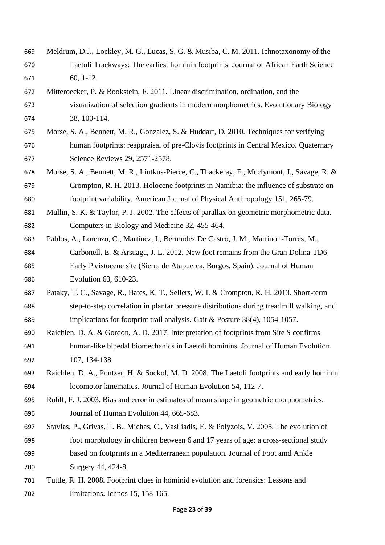- Meldrum, D.J., Lockley, M. G., Lucas, S. G. & Musiba, C. M. 2011. Ichnotaxonomy of the Laetoli Trackways: The earliest hominin footprints. Journal of African Earth Science 60, 1-12.
- Mitteroecker, P. & Bookstein, F. 2011. Linear discrimination, ordination, and the visualization of selection gradients in modern morphometrics. Evolutionary Biology 38, 100-114.
- Morse, S. A., Bennett, M. R., Gonzalez, S. & Huddart, D. 2010. Techniques for verifying human footprints: reappraisal of pre-Clovis footprints in Central Mexico. Quaternary Science Reviews 29, 2571-2578.
- Morse, S. A., Bennett, M. R., Liutkus-Pierce, C., Thackeray, F., Mcclymont, J., Savage, R. & Crompton, R. H. 2013. Holocene footprints in Namibia: the influence of substrate on footprint variability. American Journal of Physical Anthropology 151, 265-79.
- Mullin, S. K. & Taylor, P. J. 2002. The effects of parallax on geometric morphometric data. Computers in Biology and Medicine 32, 455-464.
- Pablos, A., Lorenzo, C., Martinez, I., Bermudez De Castro, J. M., Martinon-Torres, M., Carbonell, E. & Arsuaga, J. L. 2012. New foot remains from the Gran Dolina-TD6 Early Pleistocene site (Sierra de Atapuerca, Burgos, Spain). Journal of Human Evolution 63, 610-23.
- Pataky, T. C., Savage, R., Bates, K. T., Sellers, W. I. & Crompton, R. H. 2013. Short-term step-to-step correlation in plantar pressure distributions during treadmill walking, and implications for footprint trail analysis. Gait & Posture 38(4), 1054-1057.
- Raichlen, D. A. & Gordon, A. D. 2017. Interpretation of footprints from Site S confirms human-like bipedal biomechanics in Laetoli hominins. Journal of Human Evolution 107, 134-138.
- Raichlen, D. A., Pontzer, H. & Sockol, M. D. 2008. The Laetoli footprints and early hominin locomotor kinematics. Journal of Human Evolution 54, 112-7.
- Rohlf, F. J. 2003. Bias and error in estimates of mean shape in geometric morphometrics. Journal of Human Evolution 44, 665-683.
- Stavlas, P., Grivas, T. B., Michas, C., Vasiliadis, E. & Polyzois, V. 2005. The evolution of foot morphology in children between 6 and 17 years of age: a cross-sectional study based on footprints in a Mediterranean population. Journal of Foot amd Ankle Surgery 44, 424-8.
- Tuttle, R. H. 2008. Footprint clues in hominid evolution and forensics: Lessons and limitations. Ichnos 15, 158-165.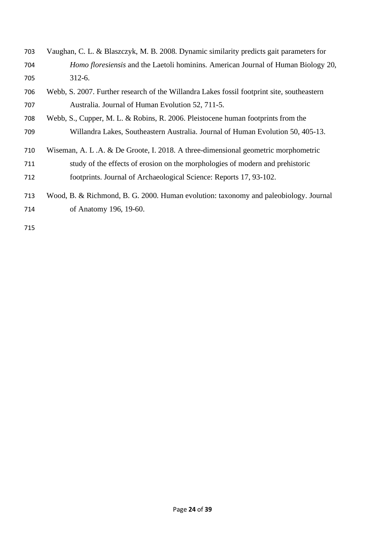- Vaughan, C. L. & Blaszczyk, M. B. 2008. Dynamic similarity predicts gait parameters for *Homo floresiensis* and the Laetoli hominins. American Journal of Human Biology 20, 312-6.
- Webb, S. 2007. Further research of the Willandra Lakes fossil footprint site, southeastern Australia. Journal of Human Evolution 52, 711-5.
- Webb, S., Cupper, M. L. & Robins, R. 2006. Pleistocene human footprints from the
- Willandra Lakes, Southeastern Australia. Journal of Human Evolution 50, 405-13.
- Wiseman, A. L .A. & De Groote, I. 2018. A three-dimensional geometric morphometric study of the effects of erosion on the morphologies of modern and prehistoric footprints. Journal of Archaeological Science: Reports 17, 93-102.
- Wood, B. & Richmond, B. G. 2000. Human evolution: taxonomy and paleobiology. Journal of Anatomy 196, 19-60.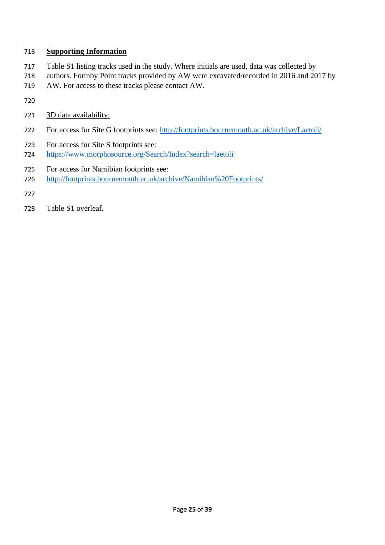# **Supporting Information**

- Table S1 listing tracks used in the study. Where initials are used, data was collected by
- authors. Formby Point tracks provided by AW were excavated/recorded in 2016 and 2017 by
- AW. For access to these tracks please contact AW.
- 
- 3D data availability:
- For access for Site G footprints see:<http://footprints.bournemouth.ac.uk/archive/Laetoli/>
- For access for Site S footprints see:
- <https://www.morphosource.org/Search/Index?search=laetoli>
- For access for Namibian footprints see:
- <http://footprints.bournemouth.ac.uk/archive/Namibian%20Footprints/>
- 
- Table S1 overleaf.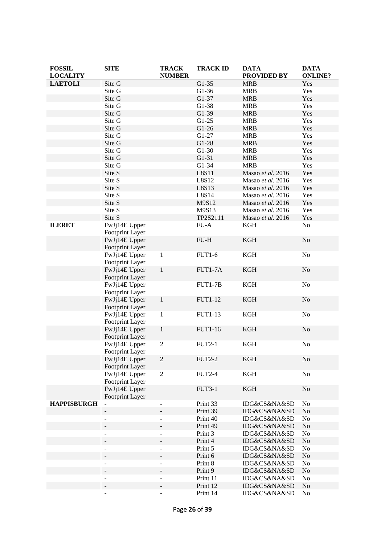| <b>FOSSIL</b><br><b>LOCALITY</b> | <b>SITE</b>                      | <b>TRACK</b><br><b>NUMBER</b> | <b>TRACK ID</b>     | <b>DATA</b><br><b>PROVIDED BY</b> | <b>DATA</b><br><b>ONLINE?</b> |
|----------------------------------|----------------------------------|-------------------------------|---------------------|-----------------------------------|-------------------------------|
| <b>LAETOLI</b>                   | Site G                           |                               | $G1-35$             | <b>MRB</b>                        | Yes                           |
|                                  | Site G                           |                               | $G1-36$             | <b>MRB</b>                        | Yes                           |
|                                  | Site G                           |                               | G1-37               | <b>MRB</b>                        | Yes                           |
|                                  | Site G                           |                               | $G1-38$             | <b>MRB</b>                        | Yes                           |
|                                  | Site G                           |                               | G1-39               | <b>MRB</b>                        | Yes                           |
|                                  | Site G                           |                               | $G1-25$             | <b>MRB</b>                        | Yes                           |
|                                  | Site G                           |                               | $G1-26$             | <b>MRB</b>                        | Yes                           |
|                                  | Site G                           |                               | $G1-27$             | <b>MRB</b>                        | Yes                           |
|                                  | Site G                           |                               | $G1-28$             | <b>MRB</b>                        | Yes                           |
|                                  | Site G                           |                               | $G1-30$             | <b>MRB</b>                        | Yes                           |
|                                  | Site G                           |                               | $G1-31$             | <b>MRB</b>                        | Yes                           |
|                                  | Site G                           |                               | $G1-34$             | <b>MRB</b>                        | Yes                           |
|                                  | Site S                           |                               | L8S11               | Masao et al. 2016                 | Yes                           |
|                                  | Site S                           |                               | L8S12               | Masao et al. 2016                 | Yes                           |
|                                  | Site S                           |                               | L8S13               | Masao et al. 2016                 | Yes                           |
|                                  | Site S                           |                               | L8S14               | Masao et al. 2016                 | Yes                           |
|                                  | Site S                           |                               | M9S12               | Masao et al. 2016                 | Yes                           |
|                                  | Site S                           |                               | M9S13               | Masao et al. 2016                 | Yes                           |
|                                  | Site S                           |                               | TP2S2111            | Masao et al. 2016                 | Yes                           |
| <b>ILERET</b>                    | FwJj14E Upper                    |                               | $FU-A$              | <b>KGH</b>                        | No                            |
|                                  | Footprint Layer                  |                               |                     |                                   |                               |
|                                  | FwJj14E Upper                    |                               | $FU-H$              | KGH                               | No                            |
|                                  | Footprint Layer                  |                               |                     |                                   |                               |
|                                  | FwJj14E Upper                    | $\mathbf{1}$                  | <b>FUT1-6</b>       | <b>KGH</b>                        | No                            |
|                                  | Footprint Layer                  |                               |                     |                                   |                               |
|                                  | FwJj14E Upper                    | $\mathbf{1}$                  | FUT1-7A             | <b>KGH</b>                        | No                            |
|                                  | Footprint Layer                  |                               |                     |                                   |                               |
|                                  | FwJj14E Upper                    |                               | FUT1-7B             | <b>KGH</b>                        | No                            |
|                                  | Footprint Layer                  |                               |                     |                                   |                               |
|                                  | FwJj14E Upper                    | $\mathbf{1}$                  | FUT1-12             | <b>KGH</b>                        | No                            |
|                                  | Footprint Layer                  |                               |                     |                                   |                               |
|                                  | FwJj14E Upper                    | $\mathbf{1}$                  | FUT1-13             | <b>KGH</b>                        | No                            |
|                                  | Footprint Layer<br>FwJj14E Upper | $\mathbf{1}$                  | <b>FUT1-16</b>      | <b>KGH</b>                        | No                            |
|                                  | Footprint Layer                  |                               |                     |                                   |                               |
|                                  | FwJj14E Upper                    | $\overline{2}$                | <b>FUT2-1</b>       | KGH                               | No                            |
|                                  | <b>Footprint Layer</b>           |                               |                     |                                   |                               |
|                                  | FwJj14E Upper                    | $\mathbf{2}$                  | <b>FUT2-2</b>       | <b>KGH</b>                        | No                            |
|                                  | Footprint Layer                  |                               |                     |                                   |                               |
|                                  | FwJj14E Upper                    | $\overline{2}$                | <b>FUT2-4</b>       | <b>KGH</b>                        | No                            |
|                                  | Footprint Layer                  |                               |                     |                                   |                               |
|                                  | FwJj14E Upper                    |                               | <b>FUT3-1</b>       | <b>KGH</b>                        | N <sub>o</sub>                |
|                                  | Footprint Layer                  |                               |                     |                                   |                               |
| <b>HAPPISBURGH</b>               |                                  |                               | Print 33            | IDG&CS&NA&SD                      | No                            |
|                                  | $\qquad \qquad -$                |                               | Print 39            | IDG&CS&NA&SD                      | No                            |
|                                  | $\overline{\phantom{a}}$         | $\overline{\phantom{0}}$      | Print 40            | IDG&CS&NA&SD                      | No                            |
|                                  |                                  |                               | Print 49            | IDG&CS&NA&SD                      | No                            |
|                                  | $\blacksquare$                   | $\overline{\phantom{0}}$      | Print 3             | IDG&CS&NA&SD                      | No                            |
|                                  |                                  |                               | Print 4             | IDG&CS&NA&SD                      | No                            |
|                                  | $\sim$                           | ÷,                            | Print 5             | IDG&CS&NA&SD                      | No                            |
|                                  |                                  |                               | Print 6             | IDG&CS&NA&SD                      | $\rm No$                      |
|                                  | $\overline{\phantom{a}}$         | $\overline{\phantom{0}}$      | Print 8             | IDG&CS&NA&SD                      | No                            |
|                                  | $\qquad \qquad -$                | -                             | Print 9<br>Print 11 | IDG&CS&NA&SD<br>IDG&CS&NA&SD      | No<br>No                      |
|                                  |                                  |                               | Print 12            | IDG&CS&NA&SD                      | No                            |
|                                  | $\qquad \qquad \blacksquare$     | $\overline{a}$                | Print 14            | IDG&CS&NA&SD                      | N <sub>0</sub>                |
|                                  |                                  |                               |                     |                                   |                               |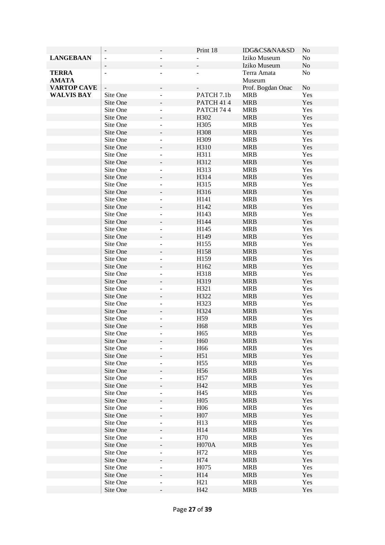|                    | $\overline{\phantom{a}}$ |                          | Print 18        | IDG&CS&NA&SD      | N <sub>o</sub> |
|--------------------|--------------------------|--------------------------|-----------------|-------------------|----------------|
| <b>LANGEBAAN</b>   | $\bar{\phantom{a}}$      |                          |                 | Iziko Museum      | No             |
|                    |                          |                          |                 | Iziko Museum      | $\rm No$       |
| <b>TERRA</b>       | $\blacksquare$           | $\overline{\phantom{a}}$ |                 | Terra Amata       | N <sub>o</sub> |
| <b>AMATA</b>       |                          |                          |                 | Museum            |                |
| <b>VARTOP CAVE</b> |                          |                          |                 | Prof. Bogdan Onac | No             |
| <b>WALVIS BAY</b>  | Site One                 | ÷,                       | PATCH 7.1b      | <b>MRB</b>        | Yes            |
|                    | Site One                 |                          | PATCH 414       | <b>MRB</b>        | Yes            |
|                    | Site One                 | $\overline{\phantom{a}}$ | PATCH 744       | <b>MRB</b>        | Yes            |
|                    | Site One                 |                          | H302            | <b>MRB</b>        | Yes            |
|                    | Site One                 | $\blacksquare$           | H305            | <b>MRB</b>        | Yes            |
|                    | Site One                 |                          | H308            | <b>MRB</b>        | Yes            |
|                    | Site One                 |                          | H309            | <b>MRB</b>        | Yes            |
|                    | Site One                 |                          | H310            | <b>MRB</b>        | Yes            |
|                    | Site One                 |                          | H311            | <b>MRB</b>        | Yes            |
|                    | Site One                 |                          | H312            | <b>MRB</b>        | Yes            |
|                    | Site One                 | $\blacksquare$           | H313            | <b>MRB</b>        | Yes            |
|                    | Site One                 |                          | H314            | <b>MRB</b>        | Yes            |
|                    | Site One                 | $\blacksquare$           | H315            | <b>MRB</b>        | Yes            |
|                    | Site One                 |                          | H316            | <b>MRB</b>        | Yes            |
|                    | Site One                 | $\overline{\phantom{a}}$ | H141            | <b>MRB</b>        | Yes            |
|                    | Site One                 |                          | H142            | <b>MRB</b>        | Yes            |
|                    | Site One                 | $\overline{a}$           | H143            | <b>MRB</b>        | Yes            |
|                    | Site One                 |                          | H144            | <b>MRB</b>        | Yes            |
|                    | Site One                 |                          | H145            | <b>MRB</b>        | Yes            |
|                    | Site One                 |                          | H149            | <b>MRB</b>        | Yes            |
|                    | Site One                 |                          | H155            | <b>MRB</b>        | Yes            |
|                    | Site One                 |                          | H158            | <b>MRB</b>        | Yes            |
|                    | Site One                 | $\overline{\phantom{a}}$ | H159            | <b>MRB</b>        | Yes            |
|                    | Site One                 |                          | H162            | <b>MRB</b>        | Yes            |
|                    | Site One                 | $\blacksquare$           | H318            | <b>MRB</b>        | Yes            |
|                    | Site One                 |                          | H319            | <b>MRB</b>        | Yes            |
|                    | Site One                 | $\blacksquare$           | H321            | <b>MRB</b>        | Yes            |
|                    | Site One                 |                          | H322            | <b>MRB</b>        | Yes            |
|                    | Site One                 | $\blacksquare$           | H323            | <b>MRB</b>        | Yes            |
|                    | Site One                 |                          | H324            | <b>MRB</b>        | Yes            |
|                    | Site One                 |                          | H <sub>59</sub> | <b>MRB</b>        | Yes            |
|                    | Site One                 |                          | H <sub>68</sub> | <b>MRB</b>        | Yes            |
|                    | Site One                 |                          | H <sub>65</sub> | <b>MRB</b>        | Yes            |
|                    | Site One                 |                          | H <sub>60</sub> | <b>MRB</b>        | Yes            |
|                    | Site One                 |                          | H <sub>66</sub> | <b>MRB</b>        | Yes            |
|                    | Site One                 |                          | H51             | <b>MRB</b>        | Yes            |
|                    | Site One                 | $\overline{\phantom{a}}$ | H <sub>55</sub> | <b>MRB</b>        | Yes            |
|                    | Site One                 |                          | H56             | <b>MRB</b>        | Yes            |
|                    | Site One                 | $\overline{\phantom{a}}$ | H <sub>57</sub> | <b>MRB</b>        | Yes            |
|                    | Site One                 |                          | H42             | <b>MRB</b>        | Yes            |
|                    | Site One                 | $\overline{\phantom{a}}$ | H45             | <b>MRB</b>        | Yes            |
|                    | Site One                 |                          | H <sub>05</sub> | <b>MRB</b>        | Yes            |
|                    | Site One                 |                          | H <sub>06</sub> | <b>MRB</b>        | Yes            |
|                    | Site One                 |                          | H07             | <b>MRB</b>        | Yes            |
|                    | Site One                 |                          | H13             | <b>MRB</b>        | Yes            |
|                    | Site One                 |                          | H14             | <b>MRB</b>        | Yes            |
|                    | Site One                 | $\overline{\phantom{a}}$ | H70             | <b>MRB</b>        | Yes            |
|                    | Site One                 |                          | <b>H070A</b>    | <b>MRB</b>        | Yes            |
|                    | Site One                 |                          | H72             | <b>MRB</b>        | Yes            |
|                    | Site One                 |                          | H74             | <b>MRB</b>        | Yes            |
|                    | Site One                 |                          | H075            | <b>MRB</b>        | Yes            |
|                    | Site One                 |                          | H14             | <b>MRB</b>        | Yes            |
|                    | Site One                 |                          | H21             | <b>MRB</b>        | Yes            |
|                    | Site One                 |                          | H42             | <b>MRB</b>        | Yes            |
|                    |                          |                          |                 |                   |                |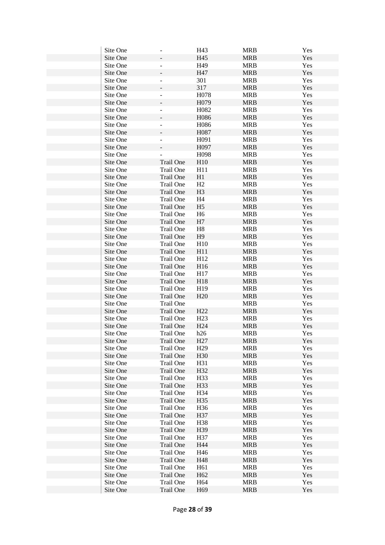| Site One |                              | H43               | <b>MRB</b> | Yes        |
|----------|------------------------------|-------------------|------------|------------|
| Site One |                              | H45               | <b>MRB</b> | Yes        |
| Site One |                              | H49               | <b>MRB</b> | Yes        |
| Site One |                              | H47               | <b>MRB</b> | Yes        |
| Site One |                              | 301               | <b>MRB</b> | Yes        |
| Site One |                              | 317               | <b>MRB</b> | Yes        |
| Site One | $\qquad \qquad \blacksquare$ | H078              | <b>MRB</b> | Yes        |
| Site One |                              | H079              | <b>MRB</b> | Yes        |
| Site One | $\overline{\phantom{a}}$     | H <sub>0</sub> 82 | <b>MRB</b> | Yes        |
| Site One |                              | H086              | <b>MRB</b> | Yes        |
| Site One | $\blacksquare$               | H086              | <b>MRB</b> | Yes        |
| Site One |                              | H087              | <b>MRB</b> | Yes        |
| Site One | ۰                            | H091              | <b>MRB</b> | Yes        |
| Site One |                              | H097              | <b>MRB</b> | Yes        |
| Site One |                              | H098              | <b>MRB</b> | Yes        |
| Site One | Trail One                    | H10               | <b>MRB</b> | Yes        |
| Site One | Trail One                    | H11               | <b>MRB</b> | Yes        |
| Site One | Trail One                    | H1                | <b>MRB</b> | Yes        |
| Site One | Trail One                    | H2                | <b>MRB</b> |            |
|          | <b>Trail One</b>             | H3                | <b>MRB</b> | Yes<br>Yes |
| Site One |                              |                   |            |            |
| Site One | Trail One                    | H <sub>4</sub>    | <b>MRB</b> | Yes        |
| Site One | Trail One                    | H <sub>5</sub>    | <b>MRB</b> | Yes        |
| Site One | Trail One                    | H <sub>6</sub>    | <b>MRB</b> | Yes        |
| Site One | Trail One                    | H7                | <b>MRB</b> | Yes        |
| Site One | Trail One                    | $\rm H8$          | <b>MRB</b> | Yes        |
| Site One | <b>Trail One</b>             | H9                | <b>MRB</b> | Yes        |
| Site One | Trail One                    | H10               | <b>MRB</b> | Yes        |
| Site One | <b>Trail One</b>             | H11               | <b>MRB</b> | Yes        |
| Site One | Trail One                    | H12               | <b>MRB</b> | Yes        |
| Site One | <b>Trail One</b>             | H16               | <b>MRB</b> | Yes        |
| Site One | Trail One                    | H17               | <b>MRB</b> | Yes        |
| Site One | <b>Trail One</b>             | H18               | <b>MRB</b> | Yes        |
| Site One | Trail One                    | H <sub>19</sub>   | <b>MRB</b> | Yes        |
| Site One | <b>Trail One</b>             | H20               | <b>MRB</b> | Yes        |
| Site One | Trail One                    |                   | <b>MRB</b> | Yes        |
| Site One | Trail One                    | H22               | <b>MRB</b> | Yes        |
| Site One | Trail One                    | H23               | <b>MRB</b> | Yes        |
| Site One | Trail One                    | H <sub>24</sub>   | <b>MRB</b> | Yes        |
| Site One | Trail One                    | h26               | <b>MRB</b> | Yes        |
| Site One | Trail One                    | H27               | <b>MRB</b> | Yes        |
| Site One | Trail One                    | H <sub>29</sub>   | <b>MRB</b> | Yes        |
| Site One | <b>Trail One</b>             | H30               | <b>MRB</b> | Yes        |
| Site One | Trail One                    | H31               | <b>MRB</b> | Yes        |
| Site One | <b>Trail One</b>             | H32               | <b>MRB</b> | Yes        |
| Site One | Trail One                    | H <sub>33</sub>   | <b>MRB</b> | Yes        |
| Site One | <b>Trail One</b>             | H33               | <b>MRB</b> | Yes        |
| Site One | Trail One                    | H34               | <b>MRB</b> | Yes        |
| Site One | Trail One                    | H35               | <b>MRB</b> | Yes        |
| Site One | Trail One                    | H <sub>36</sub>   | <b>MRB</b> | Yes        |
| Site One | Trail One                    | H37               | <b>MRB</b> | Yes        |
| Site One | Trail One                    | H38               | <b>MRB</b> | Yes        |
| Site One | Trail One                    | H39               | <b>MRB</b> | Yes        |
| Site One | Trail One                    | H37               | <b>MRB</b> | Yes        |
| Site One | <b>Trail One</b>             | H44               | <b>MRB</b> | Yes        |
| Site One | Trail One                    | H46               | <b>MRB</b> | Yes        |
| Site One | Trail One                    | H48               | <b>MRB</b> | Yes        |
| Site One | Trail One                    | H <sub>61</sub>   | <b>MRB</b> | Yes        |
| Site One | <b>Trail One</b>             | H <sub>62</sub>   | <b>MRB</b> | Yes        |
| Site One | Trail One                    | H64               | <b>MRB</b> | Yes        |
| Site One | Trail One                    | H <sub>69</sub>   | <b>MRB</b> | Yes        |
|          |                              |                   |            |            |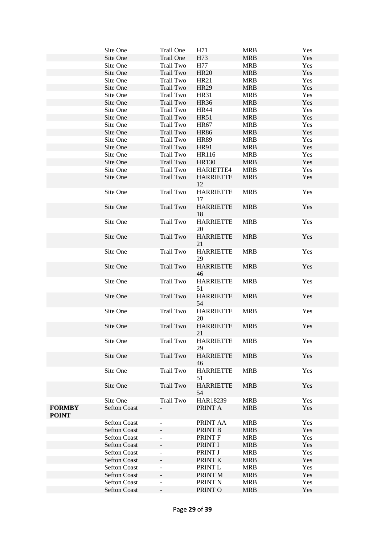|                               | Site One                                   | Trail One                    | H71                    | <b>MRB</b>               | Yes        |
|-------------------------------|--------------------------------------------|------------------------------|------------------------|--------------------------|------------|
|                               | Site One                                   | Trail One                    | H73                    | <b>MRB</b>               | Yes        |
|                               | Site One                                   | Trail Two                    | H77                    | <b>MRB</b>               | Yes        |
|                               | Site One                                   | Trail Two                    | <b>HR20</b>            | <b>MRB</b>               | Yes        |
|                               | Site One                                   | Trail Two                    | <b>HR21</b>            | <b>MRB</b>               | Yes        |
|                               | Site One                                   | Trail Two                    | <b>HR29</b>            | <b>MRB</b>               | Yes        |
|                               | Site One                                   | Trail Two                    | <b>HR31</b>            | <b>MRB</b>               | Yes        |
|                               | Site One                                   | Trail Two                    | <b>HR36</b>            | <b>MRB</b>               | Yes        |
|                               | Site One                                   | Trail Two                    | <b>HR44</b>            | <b>MRB</b>               | Yes        |
|                               | Site One                                   | Trail Two                    | <b>HR51</b>            | <b>MRB</b>               | Yes        |
|                               | Site One                                   | Trail Two                    | <b>HR67</b>            | <b>MRB</b>               | Yes        |
|                               | Site One                                   | Trail Two                    | <b>HR86</b>            | <b>MRB</b>               | Yes        |
|                               | Site One                                   | Trail Two                    | <b>HR89</b>            | <b>MRB</b>               | Yes        |
|                               | Site One                                   | Trail Two                    | HR91                   | <b>MRB</b>               | Yes        |
|                               | Site One                                   | Trail Two                    | HR116                  | <b>MRB</b>               | Yes        |
|                               | Site One                                   | Trail Two                    | <b>HR130</b>           | <b>MRB</b>               | Yes        |
|                               | Site One                                   | Trail Two                    | HARIETTE4              | <b>MRB</b>               | Yes        |
|                               | Site One                                   | Trail Two                    | <b>HARRIETTE</b><br>12 | <b>MRB</b>               | Yes        |
|                               | Site One                                   | Trail Two                    | <b>HARRIETTE</b><br>17 | <b>MRB</b>               | Yes        |
|                               | Site One                                   | Trail Two                    | <b>HARRIETTE</b><br>18 | <b>MRB</b>               | Yes        |
|                               | Site One                                   | Trail Two                    | <b>HARRIETTE</b><br>20 | <b>MRB</b>               | Yes        |
|                               | Site One                                   | Trail Two                    | <b>HARRIETTE</b><br>21 | <b>MRB</b>               | Yes        |
|                               | Site One                                   | Trail Two                    | <b>HARRIETTE</b><br>29 | <b>MRB</b>               | Yes        |
|                               | Site One                                   | Trail Two                    | <b>HARRIETTE</b><br>46 | <b>MRB</b>               | Yes        |
|                               | Site One                                   | Trail Two                    | <b>HARRIETTE</b><br>51 | <b>MRB</b>               | Yes        |
|                               | Site One                                   | Trail Two                    | <b>HARRIETTE</b><br>54 | <b>MRB</b>               | Yes        |
|                               | Site One                                   | Trail Two                    | <b>HARRIETTE</b><br>20 | <b>MRB</b>               | Yes        |
|                               | Site One                                   | Trail Two                    | <b>HARRIETTE</b><br>21 | <b>MRB</b>               | Yes        |
|                               | Site One                                   | Trail Two                    | <b>HARRIETTE</b><br>29 | <b>MRB</b>               | Yes        |
|                               | Site One                                   | Trail Two                    | <b>HARRIETTE</b><br>46 | <b>MRB</b>               | Yes        |
|                               | Site One                                   | Trail Two                    | <b>HARRIETTE</b><br>51 | <b>MRB</b>               | Yes        |
|                               | Site One                                   | Trail Two                    | <b>HARRIETTE</b><br>54 | <b>MRB</b>               | Yes        |
|                               | Site One                                   | Trail Two                    | HAR18239               | <b>MRB</b>               | Yes        |
| <b>FORMBY</b><br><b>POINT</b> | <b>Sefton Coast</b>                        |                              | PRINT A                | <b>MRB</b>               | Yes        |
|                               | <b>Sefton Coast</b>                        | $\overline{\phantom{a}}$     | PRINT AA               | <b>MRB</b>               | Yes        |
|                               | <b>Sefton Coast</b>                        |                              | PRINT B                | <b>MRB</b>               | Yes        |
|                               | <b>Sefton Coast</b>                        | $\qquad \qquad \blacksquare$ | PRINT F                | <b>MRB</b><br><b>MRB</b> | Yes        |
|                               | <b>Sefton Coast</b><br><b>Sefton Coast</b> | ÷,                           | PRINT I<br>PRINT J     | <b>MRB</b>               | Yes<br>Yes |
|                               | <b>Sefton Coast</b>                        |                              | PRINT K                | <b>MRB</b>               | Yes        |
|                               | <b>Sefton Coast</b>                        | $\overline{\phantom{a}}$     | PRINT L                | <b>MRB</b>               | Yes        |
|                               | <b>Sefton Coast</b>                        |                              | PRINT M                | <b>MRB</b>               | Yes        |
|                               | <b>Sefton Coast</b>                        | $\overline{\phantom{a}}$     | PRINT N                | <b>MRB</b>               | Yes        |
|                               | <b>Sefton Coast</b>                        | $\overline{\phantom{a}}$     | PRINT O                | <b>MRB</b>               | Yes        |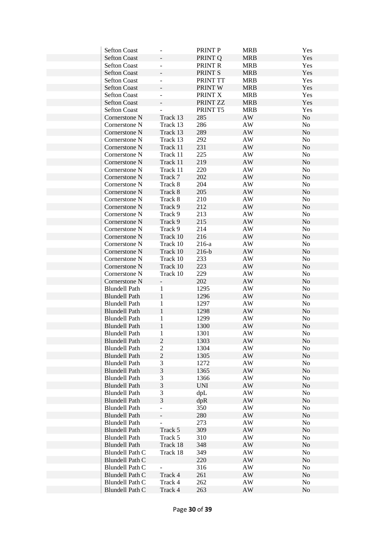| <b>Sefton Coast</b>    |                          | PRINT P    | <b>MRB</b>                   | Yes            |
|------------------------|--------------------------|------------|------------------------------|----------------|
| <b>Sefton Coast</b>    |                          | PRINT Q    | <b>MRB</b>                   | Yes            |
| <b>Sefton Coast</b>    |                          | PRINT R    | <b>MRB</b>                   | Yes            |
| <b>Sefton Coast</b>    |                          | PRINT S    | <b>MRB</b>                   | Yes            |
| <b>Sefton Coast</b>    | $\overline{\phantom{a}}$ | PRINT TT   | <b>MRB</b>                   | Yes            |
| <b>Sefton Coast</b>    |                          | PRINT W    | <b>MRB</b>                   | Yes            |
| <b>Sefton Coast</b>    | $\overline{\phantom{a}}$ | PRINT X    | <b>MRB</b>                   | Yes            |
| <b>Sefton Coast</b>    |                          | PRINT ZZ   | <b>MRB</b>                   | Yes            |
| <b>Sefton Coast</b>    |                          | PRINT T5   | <b>MRB</b>                   | Yes            |
| Cornerstone N          | Track 13                 | 285        | AW                           | No             |
| Cornerstone N          | Track 13                 | 286        | AW                           | No             |
| Cornerstone N          | Track 13                 | 289        | $\mathbf{A}\mathbf{W}$       | $\rm No$       |
| Cornerstone N          | Track 13                 | 292        | AW                           | No             |
| Cornerstone N          | Track 11                 | 231        | $\mathbf{A}\mathbf{W}$       | No             |
| Cornerstone N          | Track 11                 | 225        | $\mathbf{A}\mathbf{W}$       | No             |
|                        |                          | 219        | $\mathbf{A}\mathbf{W}$       | No             |
| Cornerstone N          | Track 11                 | 220        | $\mathbf{A}\mathbf{W}$       |                |
| Cornerstone N          | Track 11<br>Track 7      | 202        | $\mathbf{A}\mathbf{W}$       | No<br>No       |
| Cornerstone N          |                          |            |                              |                |
| Cornerstone N          | Track 8                  | 204        | $\mathbf{A}\mathbf{W}$       | No             |
| Cornerstone N          | Track 8                  | 205        | AW                           | N <sub>o</sub> |
| Cornerstone N          | Track 8                  | 210        | AW                           | No             |
| Cornerstone N          | Track 9                  | 212        | $\mathbf{A}\mathbf{W}$       | N <sub>o</sub> |
| Cornerstone N          | Track 9                  | 213        | AW                           | No             |
| Cornerstone N          | Track 9                  | 215        | $\mathbf{A}\mathbf{W}$       | No             |
| Cornerstone N          | Track 9                  | 214        | $\mathbf{A}\mathbf{W}$       | No             |
| Cornerstone N          | Track 10                 | 216        | $\mathbf{A}\mathbf{W}$       | No             |
| Cornerstone N          | Track 10                 | $216-a$    | AW                           | No             |
| Cornerstone N          | Track 10                 | $216-b$    | $\mathbf{A}\mathbf{W}$       | No             |
| Cornerstone N          | Track 10                 | 233        | $\mathbf{A}\mathbf{W}$       | No             |
| Cornerstone N          | Track 10                 | 223        | $\mathbf{A}\mathbf{W}$       | $\rm No$       |
| Cornerstone N          | Track 10                 | 229        | AW                           | No             |
| Cornerstone N          | $\blacksquare$           | 202        | $\mathbf{A}\mathbf{W}$       | No             |
| <b>Blundell Path</b>   | 1                        | 1295       | $\mathbf{A}\mathbf{W}$       | No             |
| <b>Blundell Path</b>   | $\mathbf{1}$             | 1296       | $\mathbf{A}\mathbf{W}$       | No             |
| <b>Blundell Path</b>   | $\mathbf{1}$             | 1297       | AW                           | No             |
| <b>Blundell Path</b>   | $\mathbf{1}$             | 1298       | $\mathbf{A}\mathbf{W}$       | No             |
| <b>Blundell Path</b>   | $\mathbf{1}$             | 1299       | $\mathbf{A}\mathbf{W}$       | No             |
| <b>Blundell Path</b>   | $\mathbf{1}$             | 1300       | $\mathbf{A}\mathbf{W}$       | No             |
| <b>Blundell Path</b>   | $\mathbf{1}$             | 1301       | $\mathbf{A}\mathbf{W}$       | No             |
| <b>Blundell Path</b>   | $\boldsymbol{2}$         | 1303       | $\mathbf{A}\mathbf{W}$       | No             |
| <b>Blundell Path</b>   | $\sqrt{2}$               | 1304       | AW                           | No             |
| <b>Blundell Path</b>   | $\overline{2}$           | 1305       | AW                           | No             |
| <b>Blundell Path</b>   | 3                        | 1272       | AW                           | No             |
| <b>Blundell Path</b>   | 3                        | 1365       | AW                           | No             |
| <b>Blundell Path</b>   | 3                        | 1366       | AW                           | No             |
| <b>Blundell Path</b>   | 3                        | <b>UNI</b> | $\mathbf{A}\mathbf{W}$       | No             |
| <b>Blundell Path</b>   | 3                        | dpL        | AW                           | No             |
| <b>Blundell Path</b>   | $\mathfrak{Z}$           | dpR        | $\mathbf{A}\mathbf{W}$       | No             |
| <b>Blundell Path</b>   | $\blacksquare$           | 350        | AW                           | No             |
| <b>Blundell Path</b>   |                          | 280        | $\mathbf{A}\mathbf{W}$       | No             |
| <b>Blundell Path</b>   |                          | 273        |                              | No             |
| <b>Blundell Path</b>   | Track 5                  | 309        | AW<br>$\mathbf{A}\mathbf{W}$ | No             |
|                        |                          | 310        |                              |                |
| <b>Blundell Path</b>   | Track 5                  |            | AW                           | No             |
| <b>Blundell Path</b>   | Track 18                 | 348        | $\mathbf{A}\mathbf{W}$       | No             |
| Blundell Path C        | Track 18                 | 349        | AW                           | No             |
| Blundell Path C        |                          | 220        | AW                           | No             |
| <b>Blundell Path C</b> |                          | 316        | AW                           | No             |
| <b>Blundell Path C</b> | Track 4                  | 261        | $\mathbf{A}\mathbf{W}$       | No             |
| Blundell Path C        | Track 4                  | 262        | AW                           | No             |
| <b>Blundell Path C</b> | Track 4                  | 263        | $\mathbf{A}\mathbf{W}$       | $\rm No$       |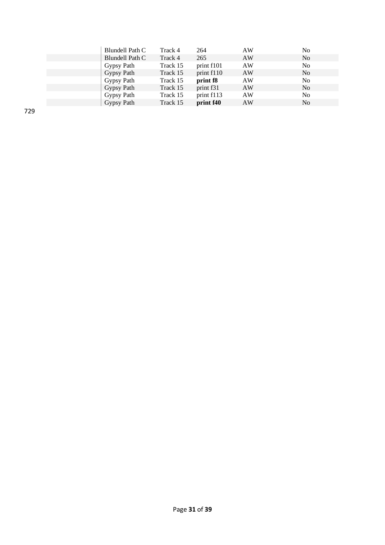| Blundell Path C | Track 4  | 264                   | AW | N <sub>0</sub> |
|-----------------|----------|-----------------------|----|----------------|
| Blundell Path C | Track 4  | 265                   | AW | N <sub>0</sub> |
| Gypsy Path      | Track 15 | print f101            | AW | N <sub>0</sub> |
| Gypsy Path      | Track 15 | print f110            | AW | N <sub>0</sub> |
| Gypsy Path      | Track 15 | print f <sub>8</sub>  | AW | N <sub>0</sub> |
| Gypsy Path      | Track 15 | print f <sub>31</sub> | AW | N <sub>0</sub> |
| Gypsy Path      | Track 15 | print f113            | AW | N <sub>0</sub> |
| Gypsy Path      | Track 15 | print f40             | AW | N <sub>0</sub> |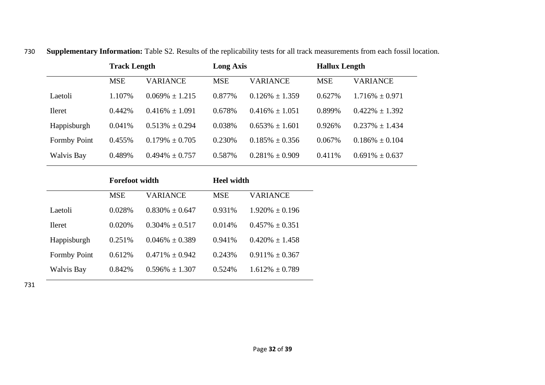|                     | <b>Track Length</b> |                     | <b>Long Axis</b> |                     |            | <b>Hallux Length</b> |  |  |
|---------------------|---------------------|---------------------|------------------|---------------------|------------|----------------------|--|--|
|                     | <b>MSE</b>          | <b>VARIANCE</b>     | <b>MSE</b>       | <b>VARIANCE</b>     | <b>MSE</b> | VARIANCE             |  |  |
| Laetoli             | 1.107%              | $0.069\% \pm 1.215$ | 0.877%           | $0.126\% \pm 1.359$ | 0.627%     | $1.716\% \pm 0.971$  |  |  |
| <b>Ileret</b>       | $0.442\%$           | $0.416\% \pm 1.091$ | 0.678%           | $0.416\% \pm 1.051$ | 0.899%     | $0.422\% \pm 1.392$  |  |  |
| Happisburgh         | 0.041%              | $0.513\% \pm 0.294$ | 0.038%           | $0.653\% \pm 1.601$ | 0.926%     | $0.237\% \pm 1.434$  |  |  |
| <b>Formby Point</b> | 0.455%              | $0.179\% \pm 0.705$ | 0.230\%          | $0.185\% \pm 0.356$ | 0.067%     | $0.186\% \pm 0.104$  |  |  |
| <b>Walvis Bay</b>   | 0.489%              | $0.494\% \pm 0.757$ | 0.587%           | $0.281\% \pm 0.909$ | 0.411%     | $0.691\% \pm 0.637$  |  |  |

730 **Supplementary Information:** Table S2. Results of the replicability tests for all track measurements from each fossil location.

|                     | <b>Forefoot width</b> |                     | <b>Heel width</b> |                     |  |
|---------------------|-----------------------|---------------------|-------------------|---------------------|--|
|                     | <b>MSE</b>            | VARIANCE            | <b>MSE</b>        | <b>VARIANCE</b>     |  |
| Laetoli             | 0.028%                | $0.830\% + 0.647$   | 0.931\%           | $1.920\% \pm 0.196$ |  |
| <b>Heret</b>        | 0.020\%               | $0.304\% + 0.517$   | 0.014%            | $0.457\% + 0.351$   |  |
| Happisburgh         | 0.251%                | $0.046\% + 0.389$   | 0.941%            | $0.420\% + 1.458$   |  |
| <b>Formby Point</b> | 0.612%                | $0.471\% \pm 0.942$ | 0.243%            | $0.911\% \pm 0.367$ |  |
| <b>Walvis Bay</b>   | 0.842%                | $0.596\% \pm 1.307$ | 0.524\%           | $1.612\% + 0.789$   |  |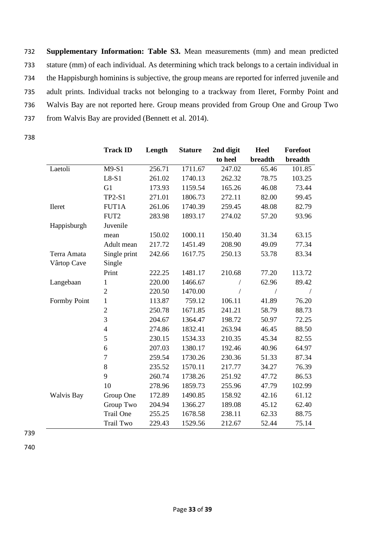**Supplementary Information: Table S3.** Mean measurements (mm) and mean predicted stature (mm) of each individual. As determining which track belongs to a certain individual in the Happisburgh hominins is subjective, the group means are reported for inferred juvenile and adult prints. Individual tracks not belonging to a trackway from Ileret, Formby Point and Walvis Bay are not reported here. Group means provided from Group One and Group Two from Walvis Bay are provided (Bennett et al*.* 2014).

738

|                   | <b>Track ID</b>  | Length | <b>Stature</b> | 2nd digit | Heel       | Forefoot   |
|-------------------|------------------|--------|----------------|-----------|------------|------------|
|                   |                  |        |                | to heel   | breadth    | breadth    |
| Laetoli           | $M9-S1$          | 256.71 | 1711.67        | 247.02    | 65.46      | 101.85     |
|                   | $L8-S1$          | 261.02 | 1740.13        | 262.32    | 78.75      | 103.25     |
|                   | G1               | 173.93 | 1159.54        | 165.26    | 46.08      | 73.44      |
|                   | <b>TP2-S1</b>    | 271.01 | 1806.73        | 272.11    | 82.00      | 99.45      |
| Ileret            | FUT1A            | 261.06 | 1740.39        | 259.45    | 48.08      | 82.79      |
|                   | FUT2             | 283.98 | 1893.17        | 274.02    | 57.20      | 93.96      |
| Happisburgh       | Juvenile         |        |                |           |            |            |
|                   | mean             | 150.02 | 1000.11        | 150.40    | 31.34      | 63.15      |
|                   | Adult mean       | 217.72 | 1451.49        | 208.90    | 49.09      | 77.34      |
| Terra Amata       | Single print     | 242.66 | 1617.75        | 250.13    | 53.78      | 83.34      |
| Vârtop Cave       | Single           |        |                |           |            |            |
|                   | Print            | 222.25 | 1481.17        | 210.68    | 77.20      | 113.72     |
| Langebaan         | $\mathbf{1}$     | 220.00 | 1466.67        |           | 62.96      | 89.42      |
|                   | $\overline{2}$   | 220.50 | 1470.00        |           | $\sqrt{2}$ | $\sqrt{2}$ |
| Formby Point      | $\mathbf{1}$     | 113.87 | 759.12         | 106.11    | 41.89      | 76.20      |
|                   | $\overline{c}$   | 250.78 | 1671.85        | 241.21    | 58.79      | 88.73      |
|                   | $\overline{3}$   | 204.67 | 1364.47        | 198.72    | 50.97      | 72.25      |
|                   | $\overline{4}$   | 274.86 | 1832.41        | 263.94    | 46.45      | 88.50      |
|                   | 5                | 230.15 | 1534.33        | 210.35    | 45.34      | 82.55      |
|                   | 6                | 207.03 | 1380.17        | 192.46    | 40.96      | 64.97      |
|                   | $\boldsymbol{7}$ | 259.54 | 1730.26        | 230.36    | 51.33      | 87.34      |
|                   | $\,8\,$          | 235.52 | 1570.11        | 217.77    | 34.27      | 76.39      |
|                   | 9                | 260.74 | 1738.26        | 251.92    | 47.72      | 86.53      |
|                   | 10               | 278.96 | 1859.73        | 255.96    | 47.79      | 102.99     |
| <b>Walvis Bay</b> | Group One        | 172.89 | 1490.85        | 158.92    | 42.16      | 61.12      |
|                   | Group Two        | 204.94 | 1366.27        | 189.08    | 45.12      | 62.40      |
|                   | <b>Trail One</b> | 255.25 | 1678.58        | 238.11    | 62.33      | 88.75      |
|                   | Trail Two        | 229.43 | 1529.56        | 212.67    | 52.44      | 75.14      |

739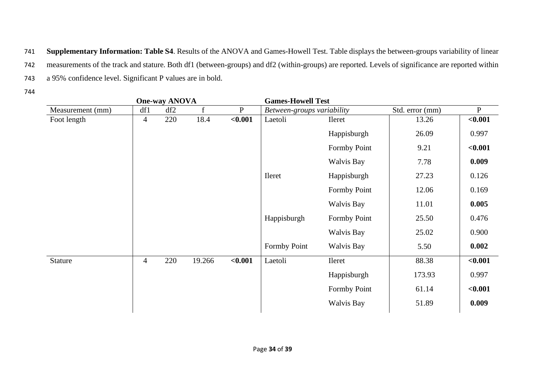741 **Supplementary Information: Table S4**. Results of the ANOVA and Games-Howell Test. Table displays the between-groups variability of linear 742 measurements of the track and stature. Both df1 (between-groups) and df2 (within-groups) are reported. Levels of significance are reported within 743 a 95% confidence level. Significant P values are in bold.

| <b>One-way ANOVA</b> |                |     |              |              | <b>Games-Howell Test</b>   |                   |                 |              |
|----------------------|----------------|-----|--------------|--------------|----------------------------|-------------------|-----------------|--------------|
| Measurement (mm)     | df1            | df2 | $\mathbf{f}$ | $\mathbf{P}$ | Between-groups variability |                   | Std. error (mm) | $\mathbf{P}$ |
| Foot length          | $\overline{4}$ | 220 | 18.4         | < 0.001      | Laetoli                    | Ileret            | 13.26           | < 0.001      |
|                      |                |     |              |              |                            | Happisburgh       | 26.09           | 0.997        |
|                      |                |     |              |              |                            | Formby Point      | 9.21            | < 0.001      |
|                      |                |     |              |              |                            | <b>Walvis Bay</b> | 7.78            | 0.009        |
|                      |                |     |              |              | <b>Ileret</b>              | Happisburgh       | 27.23           | 0.126        |
|                      |                |     |              |              |                            | Formby Point      | 12.06           | 0.169        |
|                      |                |     |              |              |                            | <b>Walvis Bay</b> | 11.01           | 0.005        |
|                      |                |     |              |              | Happisburgh                | Formby Point      | 25.50           | 0.476        |
|                      |                |     |              |              |                            | <b>Walvis Bay</b> | 25.02           | 0.900        |
|                      |                |     |              |              | Formby Point               | <b>Walvis Bay</b> | 5.50            | 0.002        |
| Stature              | $\overline{4}$ | 220 | 19.266       | < 0.001      | Laetoli                    | Ileret            | 88.38           | < 0.001      |
|                      |                |     |              |              |                            | Happisburgh       | 173.93          | 0.997        |
|                      |                |     |              |              |                            | Formby Point      | 61.14           | < 0.001      |
|                      |                |     |              |              |                            | <b>Walvis Bay</b> | 51.89           | 0.009        |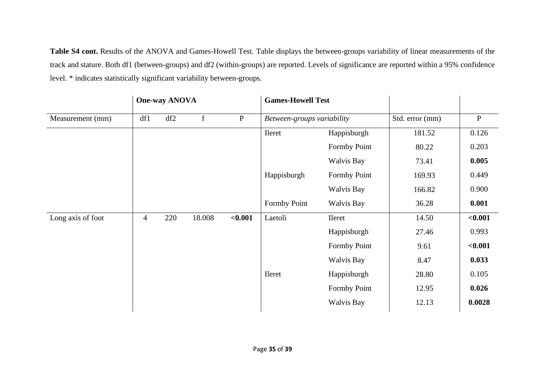**Table S4 cont.** Results of the ANOVA and Games-Howell Test. Table displays the between-groups variability of linear measurements of the track and stature. Both df1 (between-groups) and df2 (within-groups) are reported. Levels of significance are reported within a 95% confidence level. \* indicates statistically significant variability between-groups.

|                   | <b>One-way ANOVA</b> |     |             |           | <b>Games-Howell Test</b>   |                   |                 |              |
|-------------------|----------------------|-----|-------------|-----------|----------------------------|-------------------|-----------------|--------------|
| Measurement (mm)  | df1                  | df2 | $\mathbf f$ | ${\bf P}$ | Between-groups variability |                   | Std. error (mm) | $\, {\bf P}$ |
|                   |                      |     |             |           | Ileret                     | Happisburgh       | 181.52          | 0.126        |
|                   |                      |     |             |           |                            | Formby Point      | 80.22           | 0.203        |
|                   |                      |     |             |           |                            | <b>Walvis Bay</b> | 73.41           | 0.005        |
|                   |                      |     |             |           | Happisburgh                | Formby Point      | 169.93          | 0.449        |
|                   |                      |     |             |           |                            | Walvis Bay        | 166.82          | 0.900        |
|                   |                      |     |             |           | Formby Point               | Walvis Bay        | 36.28           | 0.001        |
| Long axis of foot | $\overline{4}$       | 220 | 18.008      | < 0.001   | Laetoli                    | Ileret            | 14.50           | $0.001$      |
|                   |                      |     |             |           |                            | Happisburgh       | 27.46           | 0.993        |
|                   |                      |     |             |           |                            | Formby Point      | 9.61            | < 0.001      |
|                   |                      |     |             |           |                            | Walvis Bay        | 8.47            | 0.033        |
|                   |                      |     |             |           | Ileret                     | Happisburgh       | 28.80           | 0.105        |
|                   |                      |     |             |           |                            | Formby Point      | 12.95           | 0.026        |
|                   |                      |     |             |           |                            | Walvis Bay        | 12.13           | 0.0028       |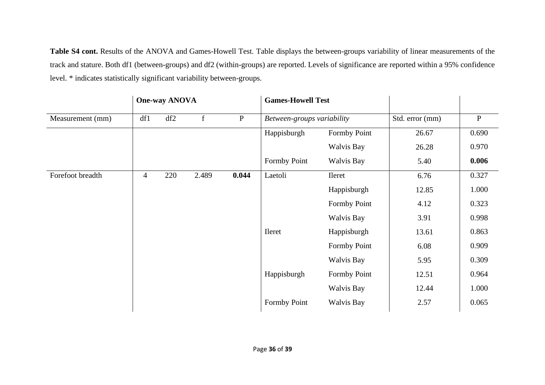**Table S4 cont.** Results of the ANOVA and Games-Howell Test. Table displays the between-groups variability of linear measurements of the track and stature. Both df1 (between-groups) and df2 (within-groups) are reported. Levels of significance are reported within a 95% confidence level. \* indicates statistically significant variability between-groups.

|                  |                | <b>One-way ANOVA</b>             |              |              | <b>Games-Howell Test</b>   |                   |                 |              |  |
|------------------|----------------|----------------------------------|--------------|--------------|----------------------------|-------------------|-----------------|--------------|--|
| Measurement (mm) | df1            | df2                              | $\mathbf{f}$ | $\, {\bf P}$ | Between-groups variability |                   | Std. error (mm) | $\, {\bf P}$ |  |
|                  |                |                                  |              |              | Happisburgh                | Formby Point      | 26.67           | 0.690        |  |
|                  |                |                                  |              |              |                            | <b>Walvis Bay</b> | 26.28           | 0.970        |  |
|                  |                |                                  |              |              | <b>Formby Point</b>        | <b>Walvis Bay</b> | 5.40            | 0.006        |  |
| Forefoot breadth | $\overline{4}$ | 2.489<br>0.044<br>Laetoli<br>220 |              |              | Ileret                     | 6.76              | 0.327           |              |  |
|                  |                |                                  |              |              |                            | Happisburgh       | 12.85           | 1.000        |  |
|                  |                |                                  |              |              |                            | Formby Point      | 4.12            | 0.323        |  |
|                  |                |                                  |              |              |                            | Walvis Bay        | 3.91            | 0.998        |  |
|                  |                |                                  |              |              | <b>Ileret</b>              | Happisburgh       | 13.61           | 0.863        |  |
|                  |                |                                  |              |              |                            | Formby Point      | 6.08            | 0.909        |  |
|                  |                |                                  |              |              |                            | Walvis Bay        | 5.95            | 0.309        |  |
|                  |                |                                  |              |              | Happisburgh                | Formby Point      | 12.51           | 0.964        |  |
|                  |                |                                  |              |              |                            | <b>Walvis Bay</b> | 12.44           | 1.000        |  |
|                  |                |                                  |              |              | Formby Point               | <b>Walvis Bay</b> | 2.57            | 0.065        |  |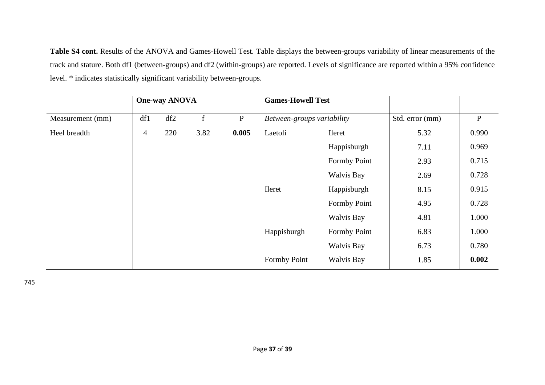**Table S4 cont.** Results of the ANOVA and Games-Howell Test. Table displays the between-groups variability of linear measurements of the track and stature. Both df1 (between-groups) and df2 (within-groups) are reported. Levels of significance are reported within a 95% confidence level. \* indicates statistically significant variability between-groups.

|                  |                | <b>One-way ANOVA</b> |      |           | <b>Games-Howell Test</b>   |                   |                 |              |
|------------------|----------------|----------------------|------|-----------|----------------------------|-------------------|-----------------|--------------|
| Measurement (mm) | df1            | df2                  | f    | ${\bf P}$ | Between-groups variability |                   | Std. error (mm) | $\, {\bf P}$ |
| Heel breadth     | $\overline{4}$ | 220                  | 3.82 | 0.005     | Laetoli                    | Ileret            | 5.32            | 0.990        |
|                  |                |                      |      |           |                            | Happisburgh       | 7.11            | 0.969        |
|                  |                |                      |      |           |                            | Formby Point      | 2.93            | 0.715        |
|                  |                |                      |      |           |                            | Walvis Bay        | 2.69            | 0.728        |
|                  |                |                      |      |           | <b>Ileret</b>              | Happisburgh       | 8.15            | 0.915        |
|                  |                |                      |      |           |                            | Formby Point      | 4.95            | 0.728        |
|                  |                |                      |      |           |                            | <b>Walvis Bay</b> | 4.81            | 1.000        |
|                  |                |                      |      |           | Happisburgh                | Formby Point      | 6.83            | 1.000        |
|                  |                |                      |      |           |                            | Walvis Bay        | 6.73            | 0.780        |
|                  |                |                      |      |           | Formby Point               | Walvis Bay        | 1.85            | 0.002        |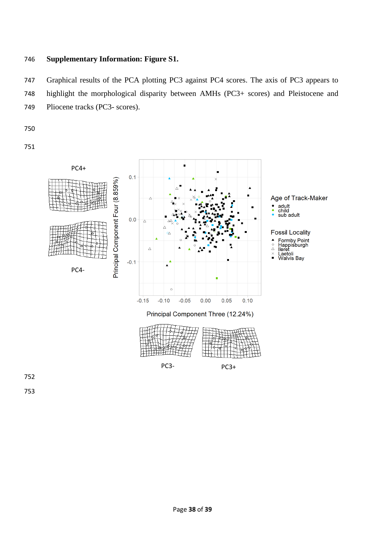# **Supplementary Information: Figure S1.**

 Graphical results of the PCA plotting PC3 against PC4 scores. The axis of PC3 appears to highlight the morphological disparity between AMHs (PC3+ scores) and Pleistocene and Pliocene tracks (PC3- scores).